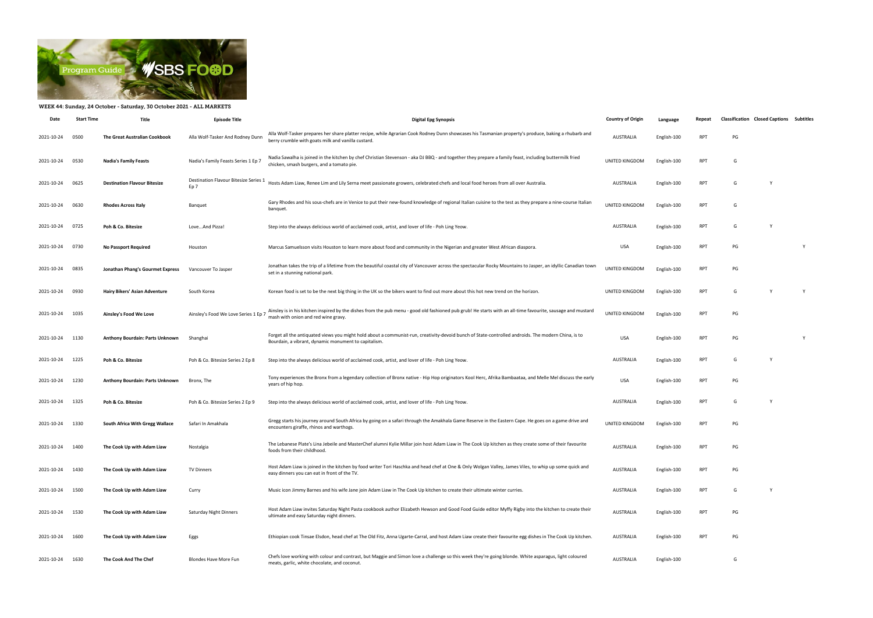

## WEEK 44: Sunday, 24 October - Saturday, 30 October 2021 - ALL MARKETS

| Date            | <b>Start Time</b> | Title                                | <b>Episode Title</b>                                     | <b>Digital Epg Synopsis</b>                                                                                                                                                                                 | <b>Country of Origin</b> | Language    | Repeat     | <b>Classification Closed Captions Subtitles</b> |   |          |
|-----------------|-------------------|--------------------------------------|----------------------------------------------------------|-------------------------------------------------------------------------------------------------------------------------------------------------------------------------------------------------------------|--------------------------|-------------|------------|-------------------------------------------------|---|----------|
| 2021-10-24      | 0500              | <b>The Great Australian Cookbook</b> | Alla Wolf-Tasker And Rodney Dunn                         | Alla Wolf-Tasker prepares her share platter recipe, while Agrarian Cook Rodney Dunn showcases his Tasmanian property's produce, baking a rhubarb and<br>berry crumble with goats milk and vanilla custard.  | <b>AUSTRALIA</b>         | English-100 | <b>RPT</b> | PG                                              |   |          |
| 2021-10-24      | 0530              | <b>Nadia's Family Feasts</b>         | Nadia's Family Feasts Series 1 Ep 7                      | Nadia Sawalha is joined in the kitchen by chef Christian Stevenson - aka DJ BBQ - and together they prepare a family feast, including buttermilk fried<br>chicken, smash burgers, and a tomato pie.         | UNITED KINGDOM           | English-100 | <b>RPT</b> | G                                               |   |          |
| 2021-10-24      | 0625              | <b>Destination Flavour Bitesize</b>  | Destination Flavour Bitesize Series 1<br>Ep <sub>7</sub> | Hosts Adam Liaw, Renee Lim and Lily Serna meet passionate growers, celebrated chefs and local food heroes from all over Australia.                                                                          | <b>AUSTRALIA</b>         | English-100 | <b>RPT</b> | G                                               | Y |          |
| 2021-10-24      | 0630              | <b>Rhodes Across Italy</b>           | Banquet                                                  | Gary Rhodes and his sous-chefs are in Venice to put their new-found knowledge of regional Italian cuisine to the test as they prepare a nine-course Italian<br>banquet.                                     | UNITED KINGDOM           | English-100 | <b>RPT</b> | G                                               |   |          |
| 2021-10-24      | 0725              | Poh & Co. Bitesize                   | LoveAnd Pizza!                                           | Step into the always delicious world of acclaimed cook, artist, and lover of life - Poh Ling Yeow.                                                                                                          | <b>AUSTRALIA</b>         | English-100 | <b>RPT</b> | G                                               | Y |          |
| 2021-10-24      | 0730              | <b>No Passport Required</b>          | Houston                                                  | Marcus Samuelsson visits Houston to learn more about food and community in the Nigerian and greater West African diaspora.                                                                                  | <b>USA</b>               | English-100 | <b>RPT</b> | PG                                              |   | <b>V</b> |
| 2021-10-24      | 0835              | Jonathan Phang's Gourmet Express     | Vancouver To Jasper                                      | Jonathan takes the trip of a lifetime from the beautiful coastal city of Vancouver across the spectacular Rocky Mountains to Jasper, an idyllic Canadian town<br>set in a stunning national park.           | UNITED KINGDOM           | English-100 | <b>RPT</b> | PG                                              |   |          |
| 2021-10-24      | 0930              | Hairy Bikers' Asian Adventure        | South Korea                                              | Korean food is set to be the next big thing in the UK so the bikers want to find out more about this hot new trend on the horizon.                                                                          | UNITED KINGDOM           | English-100 | <b>RPT</b> | G                                               |   | Y        |
| 2021-10-24      | 1035              | Ainsley's Food We Love               | Ainsley's Food We Love Series 1 Ep 7                     | Ainsley is in his kitchen inspired by the dishes from the pub menu - good old fashioned pub grub! He starts with an all-time favourite, sausage and mustard<br>mash with onion and red wine gravy.          | UNITED KINGDOM           | English-100 | <b>RPT</b> | PG                                              |   |          |
| 2021-10-24      | 1130              | Anthony Bourdain: Parts Unknown      | Shanghai                                                 | Forget all the antiquated views you might hold about a communist-run, creativity-devoid bunch of State-controlled androids. The modern China, is to<br>Bourdain, a vibrant, dynamic monument to capitalism. | <b>USA</b>               | English-100 | <b>RPT</b> | PG                                              |   | Y        |
| 2021-10-24      | 1225              | Poh & Co. Bitesize                   | Poh & Co. Bitesize Series 2 Ep 8                         | Step into the always delicious world of acclaimed cook, artist, and lover of life - Poh Ling Yeow.                                                                                                          | <b>AUSTRALIA</b>         | English-100 | <b>RPT</b> | G                                               |   |          |
| 2021-10-24      | 1230              | Anthony Bourdain: Parts Unknown      | Bronx, The                                               | Tony experiences the Bronx from a legendary collection of Bronx native - Hip Hop originators Kool Herc, Afrika Bambaataa, and Melle Mel discuss the early<br>years of hip hop.                              | <b>USA</b>               | English-100 | <b>RPT</b> | PG                                              |   |          |
| 2021-10-24      | 1325              | Poh & Co. Bitesize                   | Poh & Co. Bitesize Series 2 Ep 9                         | Step into the always delicious world of acclaimed cook, artist, and lover of life - Poh Ling Yeow.                                                                                                          | <b>AUSTRALIA</b>         | English-100 | <b>RPT</b> | G                                               |   |          |
| 2021-10-24      | 1330              | South Africa With Gregg Wallace      | Safari In Amakhala                                       | Gregg starts his journey around South Africa by going on a safari through the Amakhala Game Reserve in the Eastern Cape. He goes on a game drive and<br>encounters giraffe, rhinos and warthogs             | UNITED KINGDOM           | English-100 | <b>RPT</b> | PG                                              |   |          |
| 2021-10-24 1400 |                   | The Cook Up with Adam Liaw           | Nostalgia                                                | The Lebanese Plate's Lina Jebeile and MasterChef alumni Kylie Millar join host Adam Liaw in The Cook Up kitchen as they create some of their favourite<br>foods from their childhood.                       | <b>AUSTRALIA</b>         | English-100 | <b>RPT</b> | PG                                              |   |          |
| 2021-10-24      | 1430              | The Cook Up with Adam Liaw           | <b>TV Dinners</b>                                        | Host Adam Liaw is joined in the kitchen by food writer Tori Haschka and head chef at One & Only Wolgan Valley, James Viles, to whip up some quick and<br>easy dinners you can eat in front of the TV.       | <b>AUSTRALIA</b>         | English-100 | <b>RPT</b> | PG                                              |   |          |
| 2021-10-24      | 1500              | The Cook Up with Adam Liaw           | Curry                                                    | Music icon Jimmy Barnes and his wife Jane join Adam Liaw in The Cook Up kitchen to create their ultimate winter curries.                                                                                    | <b>AUSTRALIA</b>         | English-100 | <b>RPT</b> | G                                               | Y |          |
| 2021-10-24      | 1530              | The Cook Up with Adam Liaw           | Saturday Night Dinners                                   | Host Adam Liaw invites Saturday Night Pasta cookbook author Elizabeth Hewson and Good Food Guide editor Myffy Rigby into the kitchen to create their<br>ultimate and easy Saturday night dinners.           | <b>AUSTRALIA</b>         | English-100 | <b>RPT</b> | PG                                              |   |          |
| 2021-10-24      | 1600              | The Cook Up with Adam Liaw           | Eggs                                                     | Ethiopian cook Tinsae Elsdon, head chef at The Old Fitz, Anna Ugarte-Carral, and host Adam Liaw create their favourite egg dishes in The Cook Up kitchen.                                                   | AUSTRALIA                | English-100 | <b>RPT</b> | PG                                              |   |          |
| 2021-10-24      | 1630              | The Cook And The Chef                | Blondes Have More Fun                                    | Chefs love working with colour and contrast, but Maggie and Simon love a challenge so this week they're going blonde. White asparagus, light coloured<br>meats, garlic, white chocolate, and coconut.       | <b>AUSTRALIA</b>         | English-100 |            | G                                               |   |          |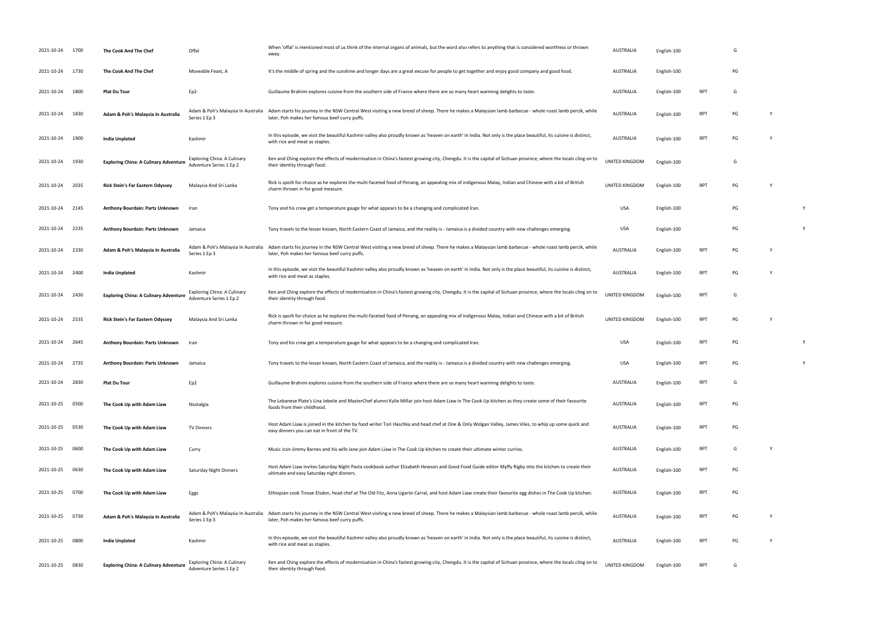| 2021-10-24 | 1700 | The Cook And The Chef                        | Offal                                                         | When 'offal' is mentioned most of us think of the internal organs of animals, but the word also refers to anything that is considered worthless or thrown<br>away.                                        | AUSTRALIA        | English-100 |            | G  |          |  |
|------------|------|----------------------------------------------|---------------------------------------------------------------|-----------------------------------------------------------------------------------------------------------------------------------------------------------------------------------------------------------|------------------|-------------|------------|----|----------|--|
| 2021-10-24 | 1730 | The Cook And The Chef                        | Moveable Feast, A                                             | It's the middle of spring and the sunshine and longer days are a great excuse for people to get together and enjoy good company and good food.                                                            | AUSTRALIA        | English-100 |            | PG |          |  |
| 2021-10-24 | 1800 | <b>Plat Du Tour</b>                          | Ep2                                                           | Guillaume Brahimi explores cuisine from the southern side of France where there are so many heart warming delights to taste.                                                                              | AUSTRALIA        | English-100 | <b>RPT</b> | G  |          |  |
| 2021-10-24 | 1830 | Adam & Poh's Malaysia In Australia           | Adam & Poh's Malaysia In Australia<br>Series 1 Ep 3           | Adam starts his journey in the NSW Central West visiting a new breed of sheep. There he makes a Malaysian lamb barbecue - whole roast lamb percik, while<br>later, Poh makes her famous beef curry puffs. | AUSTRALIA        | English-100 | <b>RPT</b> | PG |          |  |
| 2021-10-24 | 1900 | India Unplated                               | Kashmir                                                       | In this episode, we visit the beautiful Kashmir valley also proudly known as 'heaven on earth' in India. Not only is the place beautiful, its cuisine is distinct,<br>with rice and meat as staples.      | AUSTRALIA        | English-100 | <b>RPT</b> | PG |          |  |
| 2021-10-24 | 1930 | <b>Exploring China: A Culinary Adventure</b> | <b>Exploring China: A Culinary</b><br>Adventure Series 1 Ep 2 | Ken and Ching explore the effects of modernisation in China's fastest growing city, Chengdu. It is the capital of Sichuan province, where the locals cling on to<br>their identity through food.          | UNITED KINGDOM   | English-100 |            | G  |          |  |
| 2021-10-24 | 2035 | <b>Rick Stein's Far Eastern Odyssey</b>      | Malaysia And Sri Lanka                                        | Rick is spoilt for choice as he explores the multi-faceted food of Penang, an appealing mix of indigenous Malay, Indian and Chinese with a bit of British<br>charm thrown in for good measure.            | UNITED KINGDOM   | English-100 | <b>RPT</b> | PG | Y        |  |
| 2021-10-24 | 2145 | Anthony Bourdain: Parts Unknown              | Iran                                                          | Tony and his crew get a temperature gauge for what appears to be a changing and complicated Iran.                                                                                                         | USA              | English-100 |            | PG |          |  |
| 2021-10-24 | 2235 | <b>Anthony Bourdain: Parts Unknown</b>       | Jamaica                                                       | Tony travels to the lesser known, North Eastern Coast of Jamaica, and the reality is - Jamaica is a divided country with new challenges emerging.                                                         | <b>USA</b>       | English-100 |            | PG |          |  |
| 2021-10-24 | 2330 | Adam & Poh's Malaysia In Australia           | Adam & Poh's Malaysia In Australia<br>Series 1 Ep 3           | Adam starts his journey in the NSW Central West visiting a new breed of sheep. There he makes a Malaysian lamb barbecue - whole roast lamb percik, while<br>later, Poh makes her famous beef curry puffs. | AUSTRALIA        | English-100 | <b>RPT</b> | PG |          |  |
| 2021-10-24 | 2400 | India Unplated                               | Kashmir                                                       | In this episode, we visit the beautiful Kashmir valley also proudly known as 'heaven on earth' in India. Not only is the place beautiful, its cuisine is distinct,<br>with rice and meat as staples.      | AUSTRALIA        | English-100 | <b>RPT</b> | PG |          |  |
| 2021-10-24 | 2430 | <b>Exploring China: A Culinary Adventure</b> | <b>Exploring China: A Culinary</b><br>Adventure Series 1 Ep 2 | Ken and Ching explore the effects of modernisation in China's fastest growing city, Chengdu. It is the capital of Sichuan province, where the locals cling on to<br>their identity through food.          | UNITED KINGDOM   | English-100 | <b>RPT</b> | G  |          |  |
| 2021-10-24 | 2535 | <b>Rick Stein's Far Eastern Odyssey</b>      | Malaysia And Sri Lanka                                        | Rick is spoilt for choice as he explores the multi-faceted food of Penang, an appealing mix of indigenous Malay, Indian and Chinese with a bit of British<br>charm thrown in for good measure.            | UNITED KINGDOM   | English-100 | <b>RPT</b> | PG | <b>Y</b> |  |
| 2021-10-24 | 2645 | Anthony Bourdain: Parts Unknown              | Iran                                                          | Tony and his crew get a temperature gauge for what appears to be a changing and complicated Iran.                                                                                                         | <b>USA</b>       | English-100 | <b>RPT</b> | PG |          |  |
| 2021-10-24 | 2735 | Anthony Bourdain: Parts Unknown              | Jamaica                                                       | Tony travels to the lesser known, North Eastern Coast of Jamaica, and the reality is - Jamaica is a divided country with new challenges emerging.                                                         | USA              | English-100 | <b>RPT</b> | PG |          |  |
| 2021-10-24 | 2830 | <b>Plat Du Tour</b>                          | Ep2                                                           | Guillaume Brahimi explores cuisine from the southern side of France where there are so many heart warming delights to taste.                                                                              | AUSTRALIA        | English-100 | <b>RPT</b> | G  |          |  |
| 2021-10-25 | 0500 | The Cook Up with Adam Liaw                   | Nostalgia                                                     | The Lebanese Plate's Lina Jebeile and MasterChef alumni Kylie Millar join host Adam Liaw in The Cook Up kitchen as they create some of their favourite<br>foods from their childhood.                     | AUSTRALIA        | English-100 | <b>RPT</b> | PG |          |  |
| 2021-10-25 | 0530 | The Cook Up with Adam Liaw                   | <b>TV Dinners</b>                                             | Host Adam Liaw is joined in the kitchen by food writer Tori Haschka and head chef at One & Only Wolgan Valley, James Viles, to whip up some quick and<br>easy dinners you can eat in front of the TV.     | AUSTRALIA        | English-100 | <b>RPT</b> | PG |          |  |
| 2021-10-25 | 0600 | The Cook Up with Adam Liaw                   | Curry                                                         | Music icon Jimmy Barnes and his wife Jane join Adam Liaw in The Cook Up kitchen to create their ultimate winter curries.                                                                                  | AUSTRALIA        | English-100 | <b>RPT</b> | G  | <b>Y</b> |  |
| 2021-10-25 | 0630 | The Cook Up with Adam Liaw                   | Saturday Night Dinners                                        | Host Adam Liaw invites Saturday Night Pasta cookbook author Elizabeth Hewson and Good Food Guide editor Myffy Rigby into the kitchen to create their<br>ultimate and easy Saturday night dinners.         | AUSTRALIA        | English-100 | <b>RPT</b> | PG |          |  |
| 2021-10-25 | 0700 | The Cook Up with Adam Liaw                   | Eggs                                                          | Ethiopian cook Tinsae Elsdon, head chef at The Old Fitz, Anna Ugarte-Carral, and host Adam Liaw create their favourite egg dishes in The Cook Up kitchen.                                                 | AUSTRALIA        | English-100 | <b>RPT</b> | PG |          |  |
| 2021-10-25 | 0730 | Adam & Poh's Malaysia In Australia           | Adam & Poh's Malaysia In Australia<br>Series 1 Ep 3           | Adam starts his journey in the NSW Central West visiting a new breed of sheep. There he makes a Malaysian lamb barbecue - whole roast lamb percik, while<br>later, Poh makes her famous beef curry puffs. | <b>AUSTRALIA</b> | English-100 | <b>RPT</b> | PG | Y        |  |
| 2021-10-25 | 0800 | <b>India Unplated</b>                        | Kashmir                                                       | In this episode, we visit the beautiful Kashmir valley also proudly known as 'heaven on earth' in India. Not only is the place beautiful, its cuisine is distinct,<br>with rice and meat as staples.      | AUSTRALIA        | English-100 | <b>RPT</b> | PG | Y        |  |
| 2021-10-25 | 0830 | <b>Exploring China: A Culinary Adventure</b> | <b>Exploring China: A Culinary</b><br>Adventure Series 1 Ep 2 | Ken and Ching explore the effects of modernisation in China's fastest growing city, Chengdu. It is the capital of Sichuan province, where the locals cling on to<br>their identity through food.          | UNITED KINGDOM   | English-100 | <b>RPT</b> | G  |          |  |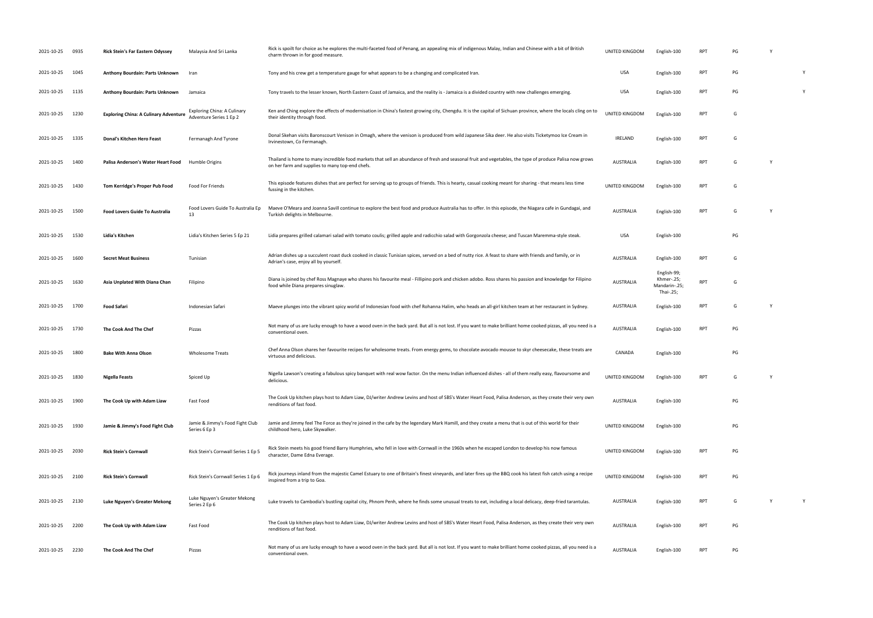| 2021-10-25 0935 |      | <b>Rick Stein's Far Eastern Odyssey</b>      | Malaysia And Sri Lanka                                 | Rick is spoilt for choice as he explores the multi-faceted food of Penang, an appealing mix of indigenous Malay, Indian and Chinese with a bit of British<br>charm thrown in for good measure.              | UNITED KINGDOM        | English-100                                             | RPT        | PG |   |          |
|-----------------|------|----------------------------------------------|--------------------------------------------------------|-------------------------------------------------------------------------------------------------------------------------------------------------------------------------------------------------------------|-----------------------|---------------------------------------------------------|------------|----|---|----------|
| 2021-10-25 1045 |      | Anthony Bourdain: Parts Unknown              | Iran                                                   | Tony and his crew get a temperature gauge for what appears to be a changing and complicated Iran.                                                                                                           | USA                   | English-100                                             | <b>RPT</b> | PG |   | <b>Y</b> |
| 2021-10-25      | 1135 | Anthony Bourdain: Parts Unknown              | Jamaica                                                | Tony travels to the lesser known, North Eastern Coast of Jamaica, and the reality is - Jamaica is a divided country with new challenges emerging.                                                           | <b>USA</b>            | English-100                                             | RPT        | PG |   | Y        |
| 2021-10-25      | 1230 | <b>Exploring China: A Culinary Adventure</b> | Exploring China: A Culinary<br>Adventure Series 1 Ep 2 | Ken and Ching explore the effects of modernisation in China's fastest growing city, Chengdu. It is the capital of Sichuan province, where the locals cling on to<br>their identity through food.            | <b>UNITED KINGDOM</b> | English-100                                             | <b>RPT</b> | G  |   |          |
| 2021-10-25 1335 |      | <b>Donal's Kitchen Hero Feast</b>            | Fermanagh And Tyrone                                   | Donal Skehan visits Baronscourt Venison in Omagh, where the venison is produced from wild Japanese Sika deer. He also visits Ticketymoo Ice Cream in<br>Irvinestown, Co Fermanagh.                          | IRELAND               | English-100                                             | <b>RPT</b> | G  |   |          |
| 2021-10-25      | 1400 | Palisa Anderson's Water Heart Food           | Humble Origins                                         | Thailand is home to many incredible food markets that sell an abundance of fresh and seasonal fruit and vegetables, the type of produce Palisa now grows<br>on her farm and supplies to many top-end chefs. | AUSTRALIA             | English-100                                             | <b>RPT</b> | G  | Y |          |
| 2021-10-25      | 1430 | Tom Kerridge's Proper Pub Food               | Food For Friends                                       | This episode features dishes that are perfect for serving up to groups of friends. This is hearty, casual cooking meant for sharing - that means less time<br>fussing in the kitchen.                       | UNITED KINGDOM        | English-100                                             | <b>RPT</b> | G  |   |          |
| 2021-10-25      | 1500 | <b>Food Lovers Guide To Australia</b>        | Food Lovers Guide To Australia Ep<br>13                | Maeve O'Meara and Joanna Savill continue to explore the best food and produce Australia has to offer. In this episode, the Niagara cafe in Gundagai, and<br>Turkish delights in Melbourne.                  | <b>AUSTRALIA</b>      | English-100                                             | <b>RPT</b> | G  |   |          |
| 2021-10-25 1530 |      | Lidia's Kitchen                              | Lidia's Kitchen Series 5 Ep 21                         | Lidia prepares grilled calamari salad with tomato coulis; grilled apple and radicchio salad with Gorgonzola cheese; and Tuscan Maremma-style steak.                                                         | USA                   | English-100                                             |            | PG |   |          |
| 2021-10-25      | 1600 | <b>Secret Meat Business</b>                  | Tunisian                                               | Adrian dishes up a succulent roast duck cooked in classic Tunisian spices, served on a bed of nutty rice. A feast to share with friends and family, or in<br>Adrian's case, enjoy all by yourself.          | <b>AUSTRALIA</b>      | English-100                                             | <b>RPT</b> | G  |   |          |
| 2021-10-25      | 1630 | Asia Unplated With Diana Chan                | Filipino                                               | Diana is joined by chef Ross Magnaye who shares his favourite meal - Fillipino pork and chicken adobo. Ross shares his passion and knowledge for Filipino<br>food while Diana prepares sinuglaw.            | AUSTRALIA             | English-99;<br>Khmer-.25;<br>Mandarin-.25;<br>Thai-.25; | <b>RPT</b> | G  |   |          |
| 2021-10-25 1700 |      | <b>Food Safari</b>                           | Indonesian Safari                                      | Maeve plunges into the vibrant spicy world of Indonesian food with chef Rohanna Halim, who heads an all-girl kitchen team at her restaurant in Sydney.                                                      | AUSTRALIA             | English-100                                             | RPT        | G  |   |          |
| 2021-10-25      | 1730 | The Cook And The Chef                        | Pizzas                                                 | Not many of us are lucky enough to have a wood oven in the back yard. But all is not lost. If you want to make brilliant home cooked pizzas, all you need is a<br>conventional oven.                        | AUSTRALIA             | English-100                                             | RPT        | PG |   |          |
| 2021-10-25      | 1800 | <b>Bake With Anna Olson</b>                  | <b>Wholesome Treats</b>                                | Chef Anna Olson shares her favourite recipes for wholesome treats. From energy gems, to chocolate avocado mousse to skyr cheesecake, these treats are<br>virtuous and delicious.                            | CANADA                | English-100                                             |            | PG |   |          |
| 2021-10-25 1830 |      | <b>Nigella Feasts</b>                        | Spiced Up                                              | Nigella Lawson's creating a fabulous spicy banquet with real wow factor. On the menu Indian influenced dishes - all of them really easy, flavoursome and<br>delicious.                                      | UNITED KINGDOM        | English-100                                             | RPT        | G  | Y |          |
| 2021-10-25 1900 |      | The Cook Up with Adam Liaw                   | Fast Food                                              | The Cook Up kitchen plays host to Adam Liaw, DJ/writer Andrew Levins and host of SBS's Water Heart Food, Palisa Anderson, as they create their very own<br>renditions of fast food.                         | AUSTRALIA             | English-100                                             |            | PG |   |          |
| 2021-10-25 1930 |      | Jamie & Jimmy's Food Fight Club              | Jamie & Jimmy's Food Fight Club<br>Series 6 Ep 3       | Jamie and Jimmy feel The Force as they're joined in the cafe by the legendary Mark Hamill, and they create a menu that is out of this world for their<br>childhood hero, Luke Skywalker.                    | UNITED KINGDOM        | English-100                                             |            | PG |   |          |
| 2021-10-25 2030 |      | <b>Rick Stein's Cornwall</b>                 | Rick Stein's Cornwall Series 1 Ep 5                    | Rick Stein meets his good friend Barry Humphries, who fell in love with Cornwall in the 1960s when he escaped London to develop his now famous<br>character, Dame Edna Everage.                             | UNITED KINGDOM        | English-100                                             | RPT        | PG |   |          |
| 2021-10-25 2100 |      | <b>Rick Stein's Cornwall</b>                 | Rick Stein's Cornwall Series 1 Ep 6                    | Rick journeys inland from the majestic Camel Estuary to one of Britain's finest vineyards, and later fires up the BBQ cook his latest fish catch using a recipe<br>inspired from a trip to Goa.             | UNITED KINGDOM        | English-100                                             | RPT        | PG |   |          |
| 2021-10-25 2130 |      | Luke Nguyen's Greater Mekong                 | Luke Nguyen's Greater Mekong<br>Series 2 Ep 6          | Luke travels to Cambodia's bustling capital city, Phnom Penh, where he finds some unusual treats to eat, including a local delicacy, deep-fried tarantulas.                                                 | AUSTRALIA             | English-100                                             | RPT        | G  | Y | Y        |
| 2021-10-25 2200 |      | The Cook Up with Adam Liaw                   | Fast Food                                              | The Cook Up kitchen plays host to Adam Liaw, DJ/writer Andrew Levins and host of SBS's Water Heart Food, Palisa Anderson, as they create their very own<br>renditions of fast food.                         | AUSTRALIA             | English-100                                             | RPT        | PG |   |          |
| 2021-10-25 2230 |      | The Cook And The Chef                        | Pizzas                                                 | Not many of us are lucky enough to have a wood oven in the back yard. But all is not lost. If you want to make brilliant home cooked pizzas, all you need is a<br>conventional oven.                        | AUSTRALIA             | English-100                                             | RPT        | PG |   |          |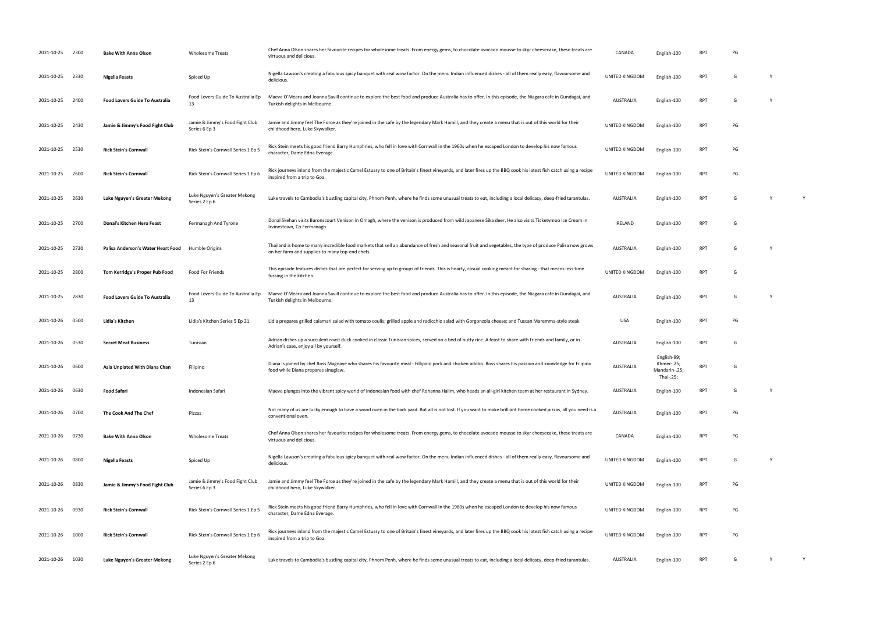| 2021-10-25 2300 |      | <b>Bake With Anna Olson</b>           | <b>Wholesome Treats</b>                          | Chef Anna Olson shares her favourite recipes for wholesome treats. From energy gems, to chocolate avocado mousse to skyr cheesecake, these treats are<br>virtuous and delicious.                            | CANADA           | English-100                                             | RP1        |    |          |   |
|-----------------|------|---------------------------------------|--------------------------------------------------|-------------------------------------------------------------------------------------------------------------------------------------------------------------------------------------------------------------|------------------|---------------------------------------------------------|------------|----|----------|---|
| 2021-10-25      | 2330 | Nigella Feasts                        | Spiced Up                                        | Nigella Lawson's creating a fabulous spicy banquet with real wow factor. On the menu Indian influenced dishes - all of them really easy, flavoursome and<br>delicious.                                      | UNITED KINGDOM   | English-100                                             | <b>RPT</b> | G  | Y        |   |
| 2021-10-25      | 2400 | <b>Food Lovers Guide To Australia</b> | Food Lovers Guide To Australia Ep<br>13          | Maeve O'Meara and Joanna Savill continue to explore the best food and produce Australia has to offer. In this episode, the Niagara cafe in Gundagai, and<br>Turkish delights in Melbourne.                  | <b>AUSTRALIA</b> | English-100                                             | <b>RPT</b> | G  | <b>Y</b> |   |
| 2021-10-25      | 2430 | Jamie & Jimmy's Food Fight Club       | Jamie & Jimmy's Food Fight Club<br>Series 6 Ep 3 | Jamie and Jimmy feel The Force as they're joined in the cafe by the legendary Mark Hamill, and they create a menu that is out of this world for their<br>childhood hero, Luke Skywalker.                    | UNITED KINGDOM   | English-100                                             | RPT        | PG |          |   |
| 2021-10-25 2530 |      | <b>Rick Stein's Cornwall</b>          | Rick Stein's Cornwall Series 1 Ep 5              | Rick Stein meets his good friend Barry Humphries, who fell in love with Cornwall in the 1960s when he escaped London to develop his now famous<br>character, Dame Edna Everage.                             | UNITED KINGDOM   | English-100                                             | RPT        | PG |          |   |
| 2021-10-25      | 2600 | <b>Rick Stein's Cornwall</b>          | Rick Stein's Cornwall Series 1 Ep 6              | Rick journeys inland from the majestic Camel Estuary to one of Britain's finest vineyards, and later fires up the BBQ cook his latest fish catch using a recipe<br>inspired from a trip to Goa.             | UNITED KINGDOM   | English-100                                             | <b>RPT</b> | PG |          |   |
| 2021-10-25      | 2630 | Luke Nguyen's Greater Mekong          | Luke Nguyen's Greater Mekong<br>Series 2 Ep 6    | Luke travels to Cambodia's bustling capital city, Phnom Penh, where he finds some unusual treats to eat, including a local delicacy, deep-fried tarantulas.                                                 | AUSTRALIA        | English-100                                             | RPT        | G  | Y        | Y |
| 2021-10-25      | 2700 | Donal's Kitchen Hero Feast            | Fermanagh And Tyrone                             | Donal Skehan visits Baronscourt Venison in Omagh, where the venison is produced from wild Japanese Sika deer. He also visits Ticketymoo Ice Cream in<br>Irvinestown, Co Fermanagh.                          | IRELAND          | English-100                                             | RPT        |    |          |   |
| 2021-10-25      | 2730 | Palisa Anderson's Water Heart Food    | Humble Origins                                   | Thailand is home to many incredible food markets that sell an abundance of fresh and seasonal fruit and vegetables, the type of produce Palisa now grows<br>on her farm and supplies to many top-end chefs. | AUSTRALIA        | English-100                                             | RPT        | G  | <b>Y</b> |   |
| 2021-10-25      | 2800 | Tom Kerridge's Proper Pub Food        | Food For Friends                                 | This episode features dishes that are perfect for serving up to groups of friends. This is hearty, casual cooking meant for sharing - that means less time<br>fussing in the kitchen.                       | UNITED KINGDOM   | English-100                                             | RPT        | G  |          |   |
| 2021-10-25      | 2830 | <b>Food Lovers Guide To Australia</b> | Food Lovers Guide To Australia Ep<br>13          | Maeve O'Meara and Joanna Savill continue to explore the best food and produce Australia has to offer. In this episode, the Niagara cafe in Gundagai, and<br>Turkish delights in Melbourne.                  | AUSTRALIA        | English-100                                             | RPT        | G  | Y        |   |
| 2021-10-26      | 0500 | Lidia's Kitchen                       | Lidia's Kitchen Series 5 Ep 21                   | Lidia prepares grilled calamari salad with tomato coulis; grilled apple and radicchio salad with Gorgonzola cheese; and Tuscan Maremma-style steak.                                                         | USA              | English-100                                             | RPT        | PG |          |   |
| 2021-10-26      | 0530 | <b>Secret Meat Business</b>           | Tunisian                                         | Adrian dishes up a succulent roast duck cooked in classic Tunisian spices, served on a bed of nutty rice. A feast to share with friends and family, or in<br>Adrian's case, enjoy all by yourself.          | AUSTRALIA        | English-100                                             | RP1        | G  |          |   |
| 2021-10-26      | 0600 | Asia Unplated With Diana Chan         | Filipino                                         | Diana is joined by chef Ross Magnaye who shares his favourite meal - Fillipino pork and chicken adobo. Ross shares his passion and knowledge for Filipino<br>food while Diana prepares sinuglaw.            | <b>AUSTRALIA</b> | English-99;<br>Khmer-.25;<br>Mandarin-.25;<br>Thai-.25; | <b>RPT</b> | G  |          |   |
| 2021-10-26      | 0630 | <b>Food Safari</b>                    | Indonesian Safari                                | Maeve plunges into the vibrant spicy world of Indonesian food with chef Rohanna Halim, who heads an all-girl kitchen team at her restaurant in Sydney.                                                      | AUSTRALIA        | English-100                                             | RPT        | G  | Y        |   |
| 2021-10-26      | 0700 | The Cook And The Chef                 | Pizzas                                           | Not many of us are lucky enough to have a wood oven in the back yard. But all is not lost. If you want to make brilliant home cooked pizzas, all you need is a<br>conventional oven.                        | <b>AUSTRALIA</b> | English-100                                             | <b>RPT</b> | PG |          |   |
| 2021-10-26 0730 |      | <b>Bake With Anna Olson</b>           | <b>Wholesome Treats</b>                          | Chef Anna Olson shares her favourite recipes for wholesome treats. From energy gems, to chocolate avocado mousse to skyr cheesecake, these treats are<br>virtuous and delicious.                            | CANADA           | English-100                                             | RPT        | PG |          |   |
| 2021-10-26      | 0800 | Nigella Feasts                        | Spiced Up                                        | Nigella Lawson's creating a fabulous spicy banquet with real wow factor. On the menu Indian influenced dishes - all of them really easy, flavoursome and<br>delicious.                                      | UNITED KINGDOM   | English-100                                             | <b>RPT</b> | G  | Y        |   |
| 2021-10-26      | 0830 | Jamie & Jimmy's Food Fight Club       | Jamie & Jimmy's Food Fight Club<br>Series 6 Ep 3 | Jamie and Jimmy feel The Force as they're joined in the cafe by the legendary Mark Hamill, and they create a menu that is out of this world for their<br>childhood hero, Luke Skywalker.                    | UNITED KINGDOM   | English-100                                             | <b>RPT</b> | PG |          |   |
| 2021-10-26      | 0930 | <b>Rick Stein's Cornwall</b>          | Rick Stein's Cornwall Series 1 Ep 5              | Rick Stein meets his good friend Barry Humphries, who fell in love with Cornwall in the 1960s when he escaped London to develop his now famous<br>character, Dame Edna Everage.                             | UNITED KINGDOM   | English-100                                             | <b>RPT</b> | PG |          |   |
| 2021-10-26      | 1000 | <b>Rick Stein's Cornwall</b>          | Rick Stein's Cornwall Series 1 Ep 6              | Rick journeys inland from the majestic Camel Estuary to one of Britain's finest vineyards, and later fires up the BBQ cook his latest fish catch using a recipe<br>inspired from a trip to Goa.             | UNITED KINGDOM   | English-100                                             | RPT        | PG |          |   |
| 2021-10-26 1030 |      | Luke Nguyen's Greater Mekong          | Luke Nguyen's Greater Mekong<br>Series 2 Ep 6    | Luke travels to Cambodia's bustling capital city, Phnom Penh, where he finds some unusual treats to eat, including a local delicacy, deep-fried tarantulas.                                                 | AUSTRALIA        | English-100                                             | RPT        | G  | Y        | Y |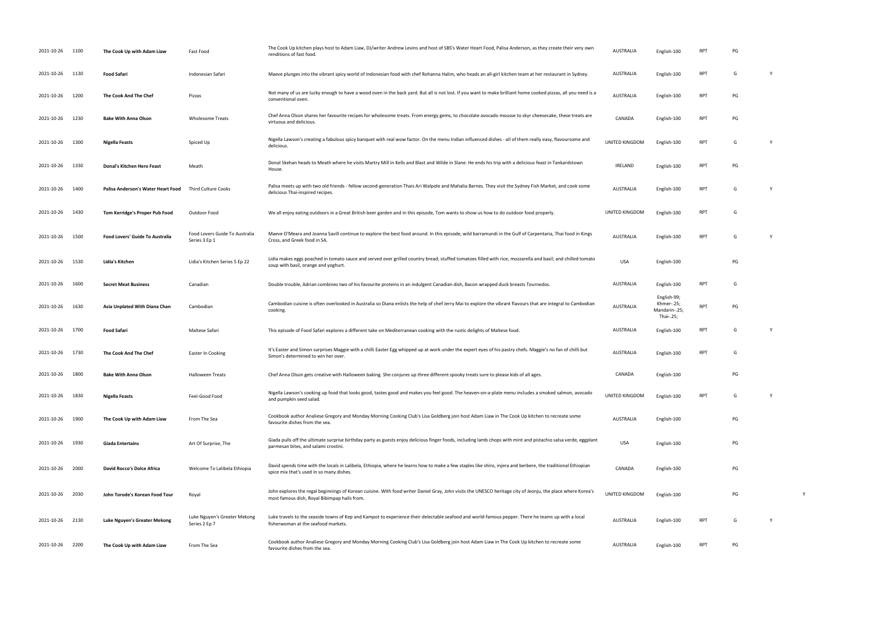| 2021-10-26 1100 |      | The Cook Up with Adam Liaw         | Fast Food                                       | The Cook Up kitchen plays host to Adam Liaw, DJ/writer Andrew Levins and host of SBS's Water Heart Food, Palisa Anderson, as they create their very own<br>renditions of fast food.                         | <b>AUSTRALIA</b> | English-100                                             | <b>RPT</b> | PG |   |  |
|-----------------|------|------------------------------------|-------------------------------------------------|-------------------------------------------------------------------------------------------------------------------------------------------------------------------------------------------------------------|------------------|---------------------------------------------------------|------------|----|---|--|
| 2021-10-26      | 1130 | <b>Food Safari</b>                 | Indonesian Safari                               | Maeve plunges into the vibrant spicy world of Indonesian food with chef Rohanna Halim, who heads an all-girl kitchen team at her restaurant in Sydney.                                                      | AUSTRALIA        | English-100                                             | <b>RPT</b> | G  | Y |  |
| 2021-10-26      | 1200 | The Cook And The Chef              | Pizzas                                          | Not many of us are lucky enough to have a wood oven in the back yard. But all is not lost. If you want to make brilliant home cooked pizzas, all you need is a<br>conventional oven.                        | AUSTRALIA        | English-100                                             | <b>RPT</b> | PG |   |  |
| 2021-10-26      | 1230 | <b>Bake With Anna Olson</b>        | <b>Wholesome Treats</b>                         | Chef Anna Olson shares her favourite recipes for wholesome treats. From energy gems, to chocolate avocado mousse to skyr cheesecake, these treats are<br>virtuous and delicious.                            | CANADA           | English-100                                             | RPT        | PG |   |  |
| 2021-10-26      | 1300 | Nigella Feasts                     | Spiced Up                                       | Nigella Lawson's creating a fabulous spicy banquet with real wow factor. On the menu Indian influenced dishes - all of them really easy, flavoursome and<br>delicious.                                      | UNITED KINGDOM   | English-100                                             | <b>RPT</b> | G  | Y |  |
| 2021-10-26      | 1330 | Donal's Kitchen Hero Feast         | Meath                                           | Donal Skehan heads to Meath where he visits Martry Mill in Kells and Blast and Wilde in Slane. He ends his trip with a delicious feast in Tankardstown<br>House.                                            | IRELAND          | English-100                                             | <b>RPT</b> | PG |   |  |
| 2021-10-26      | 1400 | Palisa Anderson's Water Heart Food | Third Culture Cooks                             | Palisa meets up with two old friends - fellow second-generation Thais Ari Walpole and Mahalia Barnes. They visit the Sydney Fish Market, and cook some<br>delicious Thai-inspired recipes.                  | AUSTRALIA        | English-100                                             | <b>RPT</b> | G  | Y |  |
| 2021-10-26      | 1430 | Tom Kerridge's Proper Pub Food     | Outdoor Food                                    | We all enjoy eating outdoors in a Great British beer garden and in this episode, Tom wants to show us how to do outdoor food properly.                                                                      | UNITED KINGDOM   | English-100                                             | <b>RPT</b> | G  |   |  |
| 2021-10-26      | 1500 | Food Lovers' Guide To Australia    | Food Lovers Guide To Australia<br>Series 3 Ep 1 | Maeve O'Meara and Joanna Savill continue to explore the best food around. In this episode, wild barramundi in the Gulf of Carpentaria, Thai food in Kings<br>Cross, and Greek food in SA.                   | AUSTRALIA        | English-100                                             | <b>RPT</b> | G  |   |  |
| 2021-10-26      | 1530 | Lidia's Kitchen                    | Lidia's Kitchen Series 5 Ep 22                  | Lidia makes eggs poached in tomato sauce and served over grilled country bread; stuffed tomatoes filled with rice, mozzarella and basil; and chilled tomato<br>soup with basil, orange and yoghurt.         | USA              | English-100                                             |            | PG |   |  |
| 2021-10-26      | 1600 | <b>Secret Meat Business</b>        | Canadian                                        | Double trouble, Adrian combines two of his favourite proteins in an indulgent Canadian dish, Bacon wrapped duck breasts Tournedos.                                                                          | AUSTRALIA        | English-100                                             | <b>RPT</b> | G  |   |  |
| 2021-10-26      | 1630 | Asia Unplated With Diana Chan      | Cambodian                                       | Cambodian cuisine is often overlooked in Australia so Diana enlists the help of chef Jerry Mai to explore the vibrant flavours that are integral to Cambodian<br>cooking.                                   | <b>AUSTRALIA</b> | English-99;<br>Khmer-.25;<br>Mandarin-.25;<br>Thai-.25; | <b>RPT</b> | PG |   |  |
| 2021-10-26 1700 |      | <b>Food Safari</b>                 | Maltese Safari                                  | This episode of Food Safari explores a different take on Mediterranean cooking with the rustic delights of Maltese food.                                                                                    | AUSTRALIA        | English-100                                             | RPT        | G  | Y |  |
| 2021-10-26      | 1730 | The Cook And The Chef              | Easter In Cooking                               | It's Easter and Simon surprises Maggie with a chilli Easter Egg whipped up at work under the expert eyes of his pastry chefs. Maggie's no fan of chilli but<br>Simon's determined to win her over.          | <b>AUSTRALIA</b> | English-100                                             | <b>RPT</b> | G  |   |  |
| 2021-10-26 1800 |      | <b>Bake With Anna Olson</b>        | <b>Halloween Treats</b>                         | Chef Anna Olson gets creative with Halloween baking. She conjures up three different spooky treats sure to please kids of all ages.                                                                         | CANADA           | English-100                                             |            | PG |   |  |
| 2021-10-26      | 1830 | <b>Nigella Feasts</b>              | Feel-Good Food                                  | Nigella Lawson's cooking up food that looks good, tastes good and makes you feel good. The heaven-on-a-plate menu includes a smoked salmon, avocado<br>and pumpkin seed salad.                              | UNITED KINGDOM   | English-100                                             | <b>RPT</b> | G  | Y |  |
| 2021-10-26      | 1900 | The Cook Up with Adam Liaw         | From The Sea                                    | Cookbook author Analiese Gregory and Monday Morning Cooking Club's Lisa Goldberg join host Adam Liaw in The Cook Up kitchen to recreate some<br>favourite dishes from the sea.                              | AUSTRALIA        | English-100                                             |            | PG |   |  |
| 2021-10-26      | 1930 | <b>Giada Entertains</b>            | Art Of Surprise, The                            | Giada pulls off the ultimate surprise birthday party as guests enjoy delicious finger foods, including lamb chops with mint and pistachio salsa verde, eggplant<br>parmesan bites, and salami crostini.     | USA              | English-100                                             |            | PG |   |  |
| 2021-10-26 2000 |      | David Rocco's Dolce Africa         | Welcome To Lalibela Ethiopia                    | David spends time with the locals in Lalibela, Ethiopia, where he learns how to make a few staples like shiro, injera and berbere, the traditional Ethiopian<br>spice mix that's used in so many dishes.    | CANADA           | English-100                                             |            | PG |   |  |
| 2021-10-26 2030 |      | John Torode's Korean Food Tour     | Royal                                           | John explores the regal beginnings of Korean cuisine. With food writer Daniel Gray, John visits the UNESCO heritage city of Jeonju, the place where Korea's<br>most famous dish, Royal Bibimpap hails from. | UNITED KINGDOM   | English-100                                             |            | PG |   |  |
| 2021-10-26 2130 |      | Luke Nguyen's Greater Mekong       | Luke Nguyen's Greater Mekong<br>Series 2 Ep 7   | Luke travels to the seaside towns of Kep and Kampot to experience their delectable seafood and world-famous pepper. There he teams up with a local<br>fisherwoman at the seafood markets.                   | AUSTRALIA        | English-100                                             | RPT        | G  | Y |  |
| 2021-10-26      | 2200 | The Cook Up with Adam Liaw         | From The Sea                                    | Cookbook author Analiese Gregory and Monday Morning Cooking Club's Lisa Goldberg join host Adam Liaw in The Cook Up kitchen to recreate some<br>favourite dishes from the sea.                              | AUSTRALIA        | English-100                                             | <b>RPT</b> | PG |   |  |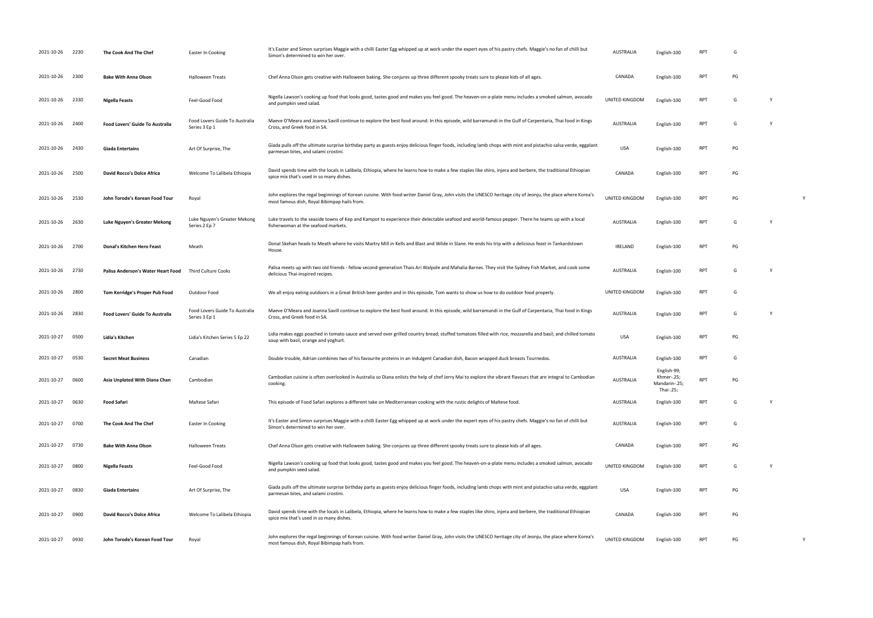| 2021-10-26 2230 |      | The Cook And The Chef                  | Easter In Cooking                               | It's Easter and Simon surprises Maggie with a chilli Easter Egg whipped up at work under the expert eyes of his pastry chefs. Maggie's no fan of chilli but<br>Simon's determined to win her over.          | <b>AUSTRALIA</b> | English-100                                             | RP1        | G  |   |
|-----------------|------|----------------------------------------|-------------------------------------------------|-------------------------------------------------------------------------------------------------------------------------------------------------------------------------------------------------------------|------------------|---------------------------------------------------------|------------|----|---|
| 2021-10-26      | 2300 | <b>Bake With Anna Olson</b>            | <b>Halloween Treats</b>                         | Chef Anna Olson gets creative with Halloween baking. She conjures up three different spooky treats sure to please kids of all ages.                                                                         | CANADA           | English-100                                             | <b>RPT</b> | PG |   |
| 2021-10-26 2330 |      | Nigella Feasts                         | Feel-Good Food                                  | Nigella Lawson's cooking up food that looks good, tastes good and makes you feel good. The heaven-on-a-plate menu includes a smoked salmon, avocado<br>and pumpkin seed salad.                              | UNITED KINGDOM   | English-100                                             | <b>RPT</b> | G  |   |
| 2021-10-26 2400 |      | <b>Food Lovers' Guide To Australia</b> | Food Lovers Guide To Australia<br>Series 3 Ep 1 | Maeve O'Meara and Joanna Savill continue to explore the best food around. In this episode, wild barramundi in the Gulf of Carpentaria, Thai food in Kings<br>Cross, and Greek food in SA.                   | <b>AUSTRALIA</b> | English-100                                             | <b>RPT</b> | G  |   |
| 2021-10-26 2430 |      | <b>Giada Entertains</b>                | Art Of Surprise, The                            | Giada pulls off the ultimate surprise birthday party as guests enjoy delicious finger foods, including lamb chops with mint and pistachio salsa verde, eggplant<br>parmesan bites, and salami crostini      | <b>USA</b>       | English-100                                             | <b>RPT</b> | PG |   |
| 2021-10-26      | 2500 | David Rocco's Dolce Africa             | Welcome To Lalibela Ethiopia                    | David spends time with the locals in Lalibela, Ethiopia, where he learns how to make a few staples like shiro, injera and berbere, the traditional Ethiopian<br>spice mix that's used in so many dishes.    | CANADA           | English-100                                             | <b>RPT</b> | PG |   |
| 2021-10-26      | 2530 | John Torode's Korean Food Tour         | Royal                                           | John explores the regal beginnings of Korean cuisine. With food writer Daniel Gray, John visits the UNESCO heritage city of Jeonju, the place where Korea's<br>most famous dish, Royal Bibimpap hails from. | UNITED KINGDOM   | English-100                                             | RPT        | PG |   |
| 2021-10-26      | 2630 | Luke Nguyen's Greater Mekong           | Luke Nguyen's Greater Mekong<br>Series 2 Ep 7   | Luke travels to the seaside towns of Kep and Kampot to experience their delectable seafood and world-famous pepper. There he teams up with a local<br>fisherwoman at the seafood markets.                   | <b>AUSTRALIA</b> | English-100                                             | <b>RPT</b> | G  |   |
| 2021-10-26 2700 |      | Donal's Kitchen Hero Feast             | Meath                                           | Donal Skehan heads to Meath where he visits Martry Mill in Kells and Blast and Wilde in Slane. He ends his trip with a delicious feast in Tankardstown<br>House.                                            | <b>IRELAND</b>   | English-100                                             | RPT        | PG |   |
| 2021-10-26      | 2730 | Palisa Anderson's Water Heart Food     | <b>Third Culture Cooks</b>                      | Palisa meets up with two old friends - fellow second-generation Thais Ari Walpole and Mahalia Barnes. They visit the Sydney Fish Market, and cook some<br>delicious Thai-inspired recipes.                  | <b>AUSTRALIA</b> | English-100                                             | <b>RPT</b> | G  |   |
| 2021-10-26      | 2800 | Tom Kerridge's Proper Pub Food         | Outdoor Food                                    | We all enjoy eating outdoors in a Great British beer garden and in this episode, Tom wants to show us how to do outdoor food properly.                                                                      | UNITED KINGDOM   | English-100                                             | <b>RPT</b> | G  |   |
| 2021-10-26      | 2830 | <b>Food Lovers' Guide To Australia</b> | Food Lovers Guide To Australia<br>Series 3 Ep 1 | Maeve O'Meara and Joanna Savill continue to explore the best food around. In this episode, wild barramundi in the Gulf of Carpentaria, Thai food in Kings<br>Cross, and Greek food in SA.                   | <b>AUSTRALIA</b> | English-100                                             | <b>RPT</b> | G  |   |
| 2021-10-27      | 0500 | Lidia's Kitchen                        | Lidia's Kitchen Series 5 Ep 22                  | Lidia makes eggs poached in tomato sauce and served over grilled country bread; stuffed tomatoes filled with rice, mozzarella and basil; and chilled tomato<br>soup with basil, orange and yoghurt.         | <b>USA</b>       | English-100                                             | <b>RPT</b> | PG |   |
| 2021-10-27      | 0530 | <b>Secret Meat Business</b>            | Canadian                                        | Double trouble, Adrian combines two of his favourite proteins in an indulgent Canadian dish, Bacon wrapped duck breasts Tournedos.                                                                          | <b>AUSTRALIA</b> | English-100                                             | RPT        | G  |   |
| 2021-10-27      | 0600 | Asia Unplated With Diana Chan          | Cambodian                                       | Cambodian cuisine is often overlooked in Australia so Diana enlists the help of chef Jerry Mai to explore the vibrant flavours that are integral to Cambodian<br>cooking.                                   | <b>AUSTRALIA</b> | English-99;<br>Khmer-.25;<br>Mandarin-.25;<br>Thai-.25; | <b>RPT</b> | PG |   |
| 2021-10-27      | 0630 | <b>Food Safari</b>                     | Maltese Safari                                  | This episode of Food Safari explores a different take on Mediterranean cooking with the rustic delights of Maltese food.                                                                                    | <b>AUSTRALIA</b> | English-100                                             | <b>RPT</b> | G  |   |
| 2021-10-27      | 0700 | The Cook And The Chef                  | Easter In Cooking                               | It's Easter and Simon surprises Maggie with a chilli Easter Egg whipped up at work under the expert eyes of his pastry chefs. Maggie's no fan of chilli but<br>Simon's determined to win her over.          | <b>AUSTRALIA</b> | English-100                                             | <b>RPT</b> | G  |   |
| 2021-10-27      | 0730 | <b>Bake With Anna Olson</b>            | <b>Halloween Treats</b>                         | Chef Anna Olson gets creative with Halloween baking. She conjures up three different spooky treats sure to please kids of all ages.                                                                         | CANADA           | English-100                                             | <b>RPT</b> | PG |   |
| 2021-10-27      | 0800 | <b>Nigella Feasts</b>                  | Feel-Good Food                                  | Nigella Lawson's cooking up food that looks good, tastes good and makes you feel good. The heaven-on-a-plate menu includes a smoked salmon, avocado<br>and pumpkin seed salad.                              | UNITED KINGDOM   | English-100                                             | <b>RPT</b> | G  |   |
| 2021-10-27      | 0830 | Giada Entertains                       | Art Of Surprise, The                            | Giada pulls off the ultimate surprise birthday party as guests enjoy delicious finger foods, including lamb chops with mint and pistachio salsa verde, eggplant<br>parmesan bites, and salami crostini      | <b>USA</b>       | English-100                                             | <b>RPT</b> | PG |   |
| 2021-10-27      | 0900 | David Rocco's Dolce Africa             | Welcome To Lalibela Ethiopia                    | David spends time with the locals in Lalibela, Ethiopia, where he learns how to make a few staples like shiro, injera and berbere, the traditional Ethiopian<br>spice mix that's used in so many dishes.    | CANADA           | English-100                                             | <b>RPT</b> | PG |   |
| 2021-10-27      | 0930 | John Torode's Korean Food Tour         | Royal                                           | John explores the regal beginnings of Korean cuisine. With food writer Daniel Gray, John visits the UNESCO heritage city of Jeonju, the place where Korea's<br>most famous dish, Royal Bibimpap hails from. | UNITED KINGDOM   | English-100                                             | RPT        | PG | Υ |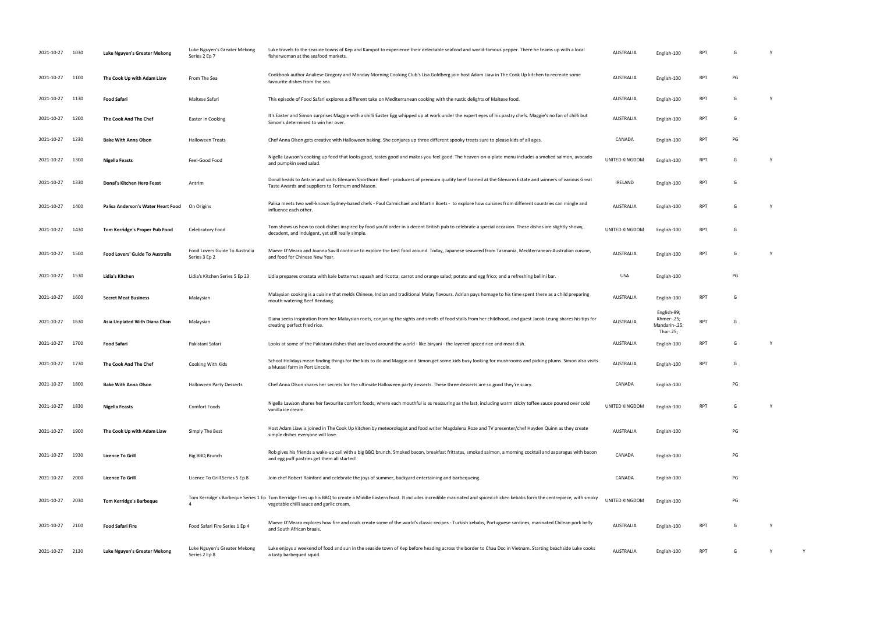| 2021-10-27 | 1030 | Luke Nguyen's Greater Mekong       | Luke Nguyen's Greater Mekong<br>Series 2 Ep 7   | Luke travels to the seaside towns of Kep and Kampot to experience their delectable seafood and world-famous pepper. There he teams up with a local<br>fisherwoman at the seafood markets.                                                   | <b>AUSTRALIA</b> | English-100                                             |            | G  |          |
|------------|------|------------------------------------|-------------------------------------------------|---------------------------------------------------------------------------------------------------------------------------------------------------------------------------------------------------------------------------------------------|------------------|---------------------------------------------------------|------------|----|----------|
| 2021-10-27 | 1100 | The Cook Up with Adam Liaw         | From The Sea                                    | Cookbook author Analiese Gregory and Monday Morning Cooking Club's Lisa Goldberg join host Adam Liaw in The Cook Up kitchen to recreate some<br>favourite dishes from the sea.                                                              | AUSTRALIA        | English-100                                             | <b>RPT</b> | PG |          |
| 2021-10-27 | 1130 | <b>Food Safari</b>                 | Maltese Safari                                  | This episode of Food Safari explores a different take on Mediterranean cooking with the rustic delights of Maltese food.                                                                                                                    | AUSTRALIA        | English-100                                             | <b>RPT</b> | G  |          |
| 2021-10-27 | 1200 | The Cook And The Chef              | Easter In Cooking                               | It's Easter and Simon surprises Maggie with a chilli Easter Egg whipped up at work under the expert eyes of his pastry chefs. Maggie's no fan of chilli but<br>Simon's determined to win her over.                                          | AUSTRALIA        | English-100                                             | <b>RPT</b> | G  |          |
| 2021-10-27 | 1230 | <b>Bake With Anna Olson</b>        | <b>Halloween Treats</b>                         | Chef Anna Olson gets creative with Halloween baking. She conjures up three different spooky treats sure to please kids of all ages.                                                                                                         | CANADA           | English-100                                             | <b>RPT</b> | PG |          |
| 2021-10-27 | 1300 | Nigella Feasts                     | Feel-Good Food                                  | Nigella Lawson's cooking up food that looks good, tastes good and makes you feel good. The heaven-on-a-plate menu includes a smoked salmon, avocado<br>and pumpkin seed salad                                                               | UNITED KINGDOM   | English-100                                             | <b>RPT</b> | G  |          |
| 2021-10-27 | 1330 | Donal's Kitchen Hero Feast         | Antrim                                          | Donal heads to Antrim and visits Glenarm Shorthorn Beef - producers of premium quality beef farmed at the Glenarm Estate and winners of various Great<br>Taste Awards and suppliers to Fortnum and Mason.                                   | IRELAND          | English-100                                             | <b>RPT</b> | G  |          |
| 2021-10-27 | 1400 | Palisa Anderson's Water Heart Food | On Origins                                      | Palisa meets two well-known Sydney-based chefs - Paul Carmichael and Martin Boetz - to explore how cuisines from different countries can mingle and<br>influence each other.                                                                | AUSTRALIA        | English-100                                             | <b>RPT</b> | G  | Y        |
| 2021-10-27 | 1430 | Tom Kerridge's Proper Pub Food     | Celebratory Food                                | Tom shows us how to cook dishes inspired by food you'd order in a decent British pub to celebrate a special occasion. These dishes are slightly showy,<br>decadent, and indulgent, yet still really simple.                                 | UNITED KINGDOM   | English-100                                             | <b>RPT</b> | G  |          |
| 2021-10-27 | 1500 | Food Lovers' Guide To Australia    | Food Lovers Guide To Australia<br>Series 3 Ep 2 | Maeve O'Meara and Joanna Savill continue to explore the best food around. Today, Japanese seaweed from Tasmania, Mediterranean-Australian cuisine,<br>and food for Chinese New Year.                                                        | AUSTRALIA        | English-100                                             | RPT        | G  | - Y      |
| 2021-10-27 | 1530 | Lidia's Kitchen                    | Lidia's Kitchen Series 5 Ep 23                  | Lidia prepares crostata with kale butternut squash and ricotta; carrot and orange salad; potato and egg frico; and a refreshing bellini bar.                                                                                                | USA              | English-100                                             |            | PG |          |
| 2021-10-27 | 1600 | <b>Secret Meat Business</b>        | Malaysian                                       | Malaysian cooking is a cuisine that melds Chinese, Indian and traditional Malay flavours. Adrian pays homage to his time spent there as a child preparing<br>mouth-watering Beef Rendang.                                                   | AUSTRALIA        | English-100                                             | <b>RPT</b> | G  |          |
| 2021-10-27 | 1630 | Asia Unplated With Diana Chan      | Malaysian                                       | Diana seeks inspiration from her Malaysian roots, conjuring the sights and smells of food stalls from her childhood, and guest Jacob Leung shares his tips for<br>creating perfect fried rice.                                              | AUSTRALIA        | English-99;<br>Khmer-.25;<br>Mandarin-.25;<br>Thai-.25; | <b>RPT</b> | G  |          |
| 2021-10-27 | 1700 | Food Safari                        | Pakistani Safari                                | Looks at some of the Pakistani dishes that are loved around the world - like biryani - the layered spiced rice and meat dish.                                                                                                               | AUSTRALIA        | English-100                                             | <b>RPT</b> | G  |          |
| 2021-10-27 | 1730 | The Cook And The Chef              | Cooking With Kids                               | School Holidays mean finding things for the kids to do and Maggie and Simon get some kids busy looking for mushrooms and picking plums. Simon also visits<br>a Mussel farm in Port Lincoln                                                  | AUSTRALIA        | English-100                                             | <b>RPT</b> | G  |          |
| 2021-10-27 | 1800 | <b>Bake With Anna Olson</b>        | <b>Halloween Party Desserts</b>                 | Chef Anna Olson shares her secrets for the ultimate Halloween party desserts. These three desserts are so good they're scary.                                                                                                               | CANADA           | English-100                                             |            | PG |          |
| 2021-10-27 | 1830 | Nigella Feasts                     | <b>Comfort Foods</b>                            | Nigella Lawson shares her favourite comfort foods, where each mouthful is as reassuring as the last, including warm sticky toffee sauce poured over cold<br>vanilla ice cream                                                               | UNITED KINGDOM   | English-100                                             | <b>RPT</b> | G  | <b>Y</b> |
| 2021-10-27 | 1900 | The Cook Up with Adam Liaw         | Simply The Best                                 | Host Adam Liaw is joined in The Cook Up kitchen by meteorologist and food writer Magdalena Roze and TV presenter/chef Hayden Quinn as they create<br>simple dishes everyone will love.                                                      | AUSTRALIA        | English-100                                             |            | PG |          |
| 2021-10-27 | 1930 | <b>Licence To Grill</b>            | Big BBQ Brunch                                  | Rob gives his friends a wake-up call with a big BBQ brunch. Smoked bacon, breakfast frittatas, smoked salmon, a morning cocktail and asparagus with bacon<br>and egg puff pastries get them all started!                                    | CANADA           | English-100                                             |            | PG |          |
| 2021-10-27 | 2000 | <b>Licence To Grill</b>            | Licence To Grill Series 5 Ep 8                  | Join chef Robert Rainford and celebrate the joys of summer, backyard entertaining and barbequeing.                                                                                                                                          | CANADA           | English-100                                             |            | PG |          |
| 2021-10-27 | 2030 | <b>Tom Kerridge's Barbeque</b>     |                                                 | Tom Kerridge's Barbeque Series 1 Ep Tom Kerridge fires up his BBQ to create a Middle Eastern feast. It includes incredible marinated and spiced chicken kebabs form the centrepiece, with smoky<br>vegetable chilli sauce and garlic cream. | UNITED KINGDOM   | English-100                                             |            | PG |          |
| 2021-10-27 | 2100 | <b>Food Safari Fire</b>            | Food Safari Fire Series 1 Ep 4                  | Maeve O'Meara explores how fire and coals create some of the world's classic recipes - Turkish kebabs, Portuguese sardines, marinated Chilean pork belly<br>and South African braais.                                                       | AUSTRALIA        | English-100                                             | <b>RPT</b> | G  |          |
| 2021-10-27 | 2130 | Luke Nguyen's Greater Mekong       | Luke Nguyen's Greater Mekong<br>Series 2 Ep 8   | Luke enjoys a weekend of food and sun in the seaside town of Kep before heading across the border to Chau Doc in Vietnam. Starting beachside Luke cooks<br>a tasty barbequed squid.                                                         | AUSTRALIA        | English-100                                             | RPT        | G  | Y        |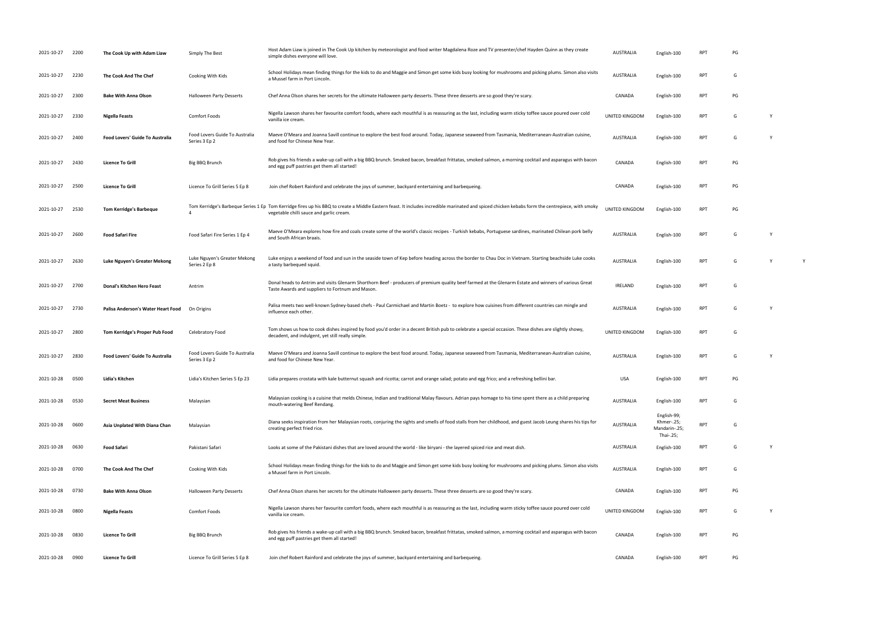| 2021-10-27      | 2200 | The Cook Up with Adam Liaw             | Simply The Best                                 | Host Adam Liaw is joined in The Cook Up kitchen by meteorologist and food writer Magdalena Roze and TV presenter/chef Hayden Quinn as they create<br>simple dishes everyone will love.                                                      | <b>AUSTRALIA</b>      | English-100                                             | RP1        | PG |   |
|-----------------|------|----------------------------------------|-------------------------------------------------|---------------------------------------------------------------------------------------------------------------------------------------------------------------------------------------------------------------------------------------------|-----------------------|---------------------------------------------------------|------------|----|---|
| 2021-10-27      | 2230 | The Cook And The Chef                  | Cooking With Kids                               | School Holidays mean finding things for the kids to do and Maggie and Simon get some kids busy looking for mushrooms and picking plums. Simon also visits<br>a Mussel farm in Port Lincoln.                                                 | <b>AUSTRALIA</b>      | English-100                                             | <b>RPT</b> | G  |   |
| 2021-10-27      | 2300 | <b>Bake With Anna Olson</b>            | Halloween Party Desserts                        | Chef Anna Olson shares her secrets for the ultimate Halloween party desserts. These three desserts are so good they're scary.                                                                                                               | CANADA                | English-100                                             | <b>RPT</b> | PG |   |
| 2021-10-27      | 2330 | <b>Nigella Feasts</b>                  | Comfort Foods                                   | Nigella Lawson shares her favourite comfort foods, where each mouthful is as reassuring as the last, including warm sticky toffee sauce poured over cold<br>vanilla ice cream.                                                              | <b>UNITED KINGDOM</b> | English-100                                             | <b>RPT</b> | G  |   |
| 2021-10-27      | 2400 | <b>Food Lovers' Guide To Australia</b> | Food Lovers Guide To Australia<br>Series 3 Ep 2 | Maeve O'Meara and Joanna Savill continue to explore the best food around. Today, Japanese seaweed from Tasmania, Mediterranean-Australian cuisine,<br>and food for Chinese New Year.                                                        | <b>AUSTRALIA</b>      | English-100                                             | <b>RPT</b> | G  |   |
| 2021-10-27      | 2430 | <b>Licence To Grill</b>                | Big BBQ Brunch                                  | Rob gives his friends a wake-up call with a big BBQ brunch. Smoked bacon, breakfast frittatas, smoked salmon, a morning cocktail and asparagus with bacon<br>and egg puff pastries get them all started!                                    | CANADA                | English-100                                             | <b>RPT</b> | PG |   |
| 2021-10-27      | 2500 | <b>Licence To Grill</b>                | Licence To Grill Series 5 Ep 8                  | Join chef Robert Rainford and celebrate the joys of summer, backyard entertaining and barbequeing.                                                                                                                                          | CANADA                | English-100                                             | <b>RPT</b> | PG |   |
| 2021-10-27      | 2530 | <b>Tom Kerridge's Barbeque</b>         |                                                 | Tom Kerridge's Barbeque Series 1 Ep Tom Kerridge fires up his BBQ to create a Middle Eastern feast. It includes incredible marinated and spiced chicken kebabs form the centrepiece, with smoky<br>vegetable chilli sauce and garlic cream. | UNITED KINGDOM        | English-100                                             | <b>RPT</b> | PG |   |
| 2021-10-27      | 2600 | <b>Food Safari Fire</b>                | Food Safari Fire Series 1 Ep 4                  | Maeve O'Meara explores how fire and coals create some of the world's classic recipes - Turkish kebabs, Portuguese sardines, marinated Chilean pork belly<br>and South African braais.                                                       | <b>AUSTRALIA</b>      | English-100                                             | RPT        | G  |   |
| 2021-10-27      | 2630 | Luke Nguyen's Greater Mekong           | Luke Nguyen's Greater Mekong<br>Series 2 Ep 8   | Luke enjoys a weekend of food and sun in the seaside town of Kep before heading across the border to Chau Doc in Vietnam. Starting beachside Luke cooks<br>a tasty barbequed squid.                                                         | <b>AUSTRALIA</b>      | English-100                                             | <b>RPT</b> | G  | Y |
| 2021-10-27      | 2700 | Donal's Kitchen Hero Feast             | Antrim                                          | Donal heads to Antrim and visits Glenarm Shorthorn Beef - producers of premium quality beef farmed at the Glenarm Estate and winners of various Great<br>Taste Awards and suppliers to Fortnum and Mason.                                   | <b>IRELAND</b>        | English-100                                             | RPT        | G  |   |
| 2021-10-27      | 2730 | Palisa Anderson's Water Heart Food     | On Origins                                      | Palisa meets two well-known Sydney-based chefs - Paul Carmichael and Martin Boetz - to explore how cuisines from different countries can mingle and<br>influence each other.                                                                | <b>AUSTRALIA</b>      | English-100                                             | RPT        | G  |   |
| 2021-10-27      | 2800 | Tom Kerridge's Proper Pub Food         | Celebratory Food                                | Tom shows us how to cook dishes inspired by food you'd order in a decent British pub to celebrate a special occasion. These dishes are slightly showy,<br>decadent, and indulgent, yet still really simple.                                 | UNITED KINGDOM        | English-100                                             | <b>RPT</b> | G  |   |
| 2021-10-27      | 2830 | Food Lovers' Guide To Australia        | Food Lovers Guide To Australia<br>Series 3 Ep 2 | Maeve O'Meara and Joanna Savill continue to explore the best food around. Today, Japanese seaweed from Tasmania, Mediterranean-Australian cuisine,<br>and food for Chinese New Year.                                                        | <b>AUSTRALIA</b>      | English-100                                             | RPT        | G  |   |
| 2021-10-28      | 0500 | Lidia's Kitchen                        | Lidia's Kitchen Series 5 Ep 23                  | Lidia prepares crostata with kale butternut squash and ricotta; carrot and orange salad; potato and egg frico; and a refreshing bellini bar.                                                                                                | <b>USA</b>            | English-100                                             | RPT        | PG |   |
| 2021-10-28 0530 |      | <b>Secret Meat Business</b>            | Malaysian                                       | Malaysian cooking is a cuisine that melds Chinese, Indian and traditional Malay flavours. Adrian pays homage to his time spent there as a child preparing<br>mouth-watering Beef Rendang.                                                   | <b>AUSTRALIA</b>      | English-100                                             | RPT        | G  |   |
| 2021-10-28      | 0600 | Asia Unplated With Diana Chan          | Malaysian                                       | Diana seeks inspiration from her Malaysian roots, conjuring the sights and smells of food stalls from her childhood, and guest Jacob Leung shares his tips for<br>creating perfect fried rice.                                              | <b>AUSTRALIA</b>      | English-99;<br>Khmer-.25;<br>Mandarin-.25;<br>Thai-.25; | <b>RPT</b> |    |   |
| 2021-10-28 0630 |      | <b>Food Safari</b>                     | Pakistani Safari                                | Looks at some of the Pakistani dishes that are loved around the world - like biryani - the layered spiced rice and meat dish.                                                                                                               | <b>AUSTRALIA</b>      | English-100                                             | <b>RPT</b> | G  |   |
| 2021-10-28 0700 |      | The Cook And The Chef                  | Cooking With Kids                               | School Holidays mean finding things for the kids to do and Maggie and Simon get some kids busy looking for mushrooms and picking plums. Simon also visits<br>a Mussel farm in Port Lincoln.                                                 | <b>AUSTRALIA</b>      | English-100                                             | <b>RPT</b> | G  |   |
| 2021-10-28 0730 |      | <b>Bake With Anna Olson</b>            | Halloween Party Desserts                        | Chef Anna Olson shares her secrets for the ultimate Halloween party desserts. These three desserts are so good they're scary.                                                                                                               | CANADA                | English-100                                             | <b>RPT</b> | PG |   |
| 2021-10-28      | 0800 | Nigella Feasts                         | Comfort Foods                                   | Nigella Lawson shares her favourite comfort foods, where each mouthful is as reassuring as the last, including warm sticky toffee sauce poured over cold<br>vanilla ice cream.                                                              | UNITED KINGDOM        | English-100                                             | <b>RPT</b> | G  |   |
| 2021-10-28      | 0830 | <b>Licence To Grill</b>                | Big BBQ Brunch                                  | Rob gives his friends a wake-up call with a big BBQ brunch. Smoked bacon, breakfast frittatas, smoked salmon, a morning cocktail and asparagus with bacon<br>and egg puff pastries get them all started!                                    | CANADA                | English-100                                             | <b>RPT</b> | PG |   |
| 2021-10-28 0900 |      | <b>Licence To Grill</b>                | Licence To Grill Series 5 Ep 8                  | Join chef Robert Rainford and celebrate the joys of summer, backyard entertaining and barbequeing.                                                                                                                                          | CANADA                | English-100                                             | RPT        | PG |   |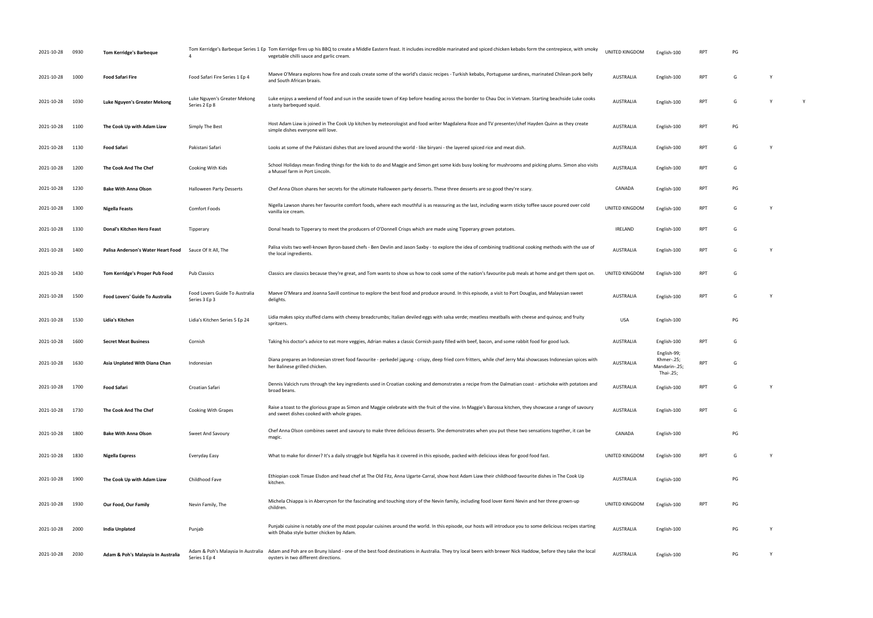| 2021-10-28      | 0930 | <b>Tom Kerridge's Barbeque</b>         |                                                     | Tom Kerridge's Barbeque Series 1 Ep Tom Kerridge fires up his BBQ to create a Middle Eastern feast. It includes incredible marinated and spiced chicken kebabs form the centrepiece, with smoky<br>vegetable chilli sauce and garlic cream | UNITED KINGDOM   | English-100                                             | <b>RPT</b> | PG |   |   |
|-----------------|------|----------------------------------------|-----------------------------------------------------|--------------------------------------------------------------------------------------------------------------------------------------------------------------------------------------------------------------------------------------------|------------------|---------------------------------------------------------|------------|----|---|---|
| 2021-10-28      | 1000 | <b>Food Safari Fire</b>                | Food Safari Fire Series 1 Ep 4                      | Maeve O'Meara explores how fire and coals create some of the world's classic recipes - Turkish kebabs, Portuguese sardines, marinated Chilean pork belly<br>and South African braais.                                                      | <b>AUSTRALIA</b> | English-100                                             | <b>RPT</b> | G  |   |   |
| 2021-10-28      | 1030 | Luke Nguyen's Greater Mekong           | Luke Nguyen's Greater Mekong<br>Series 2 Ep 8       | Luke enjoys a weekend of food and sun in the seaside town of Kep before heading across the border to Chau Doc in Vietnam. Starting beachside Luke cooks<br>a tasty barbequed squid.                                                        | AUSTRALIA        | English-100                                             | <b>RPT</b> | G  |   | Y |
| 2021-10-28      | 1100 | The Cook Up with Adam Liaw             | Simply The Best                                     | Host Adam Liaw is joined in The Cook Up kitchen by meteorologist and food writer Magdalena Roze and TV presenter/chef Hayden Quinn as they create<br>simple dishes everyone will love.                                                     | <b>AUSTRALIA</b> | English-100                                             | <b>RPT</b> | PG |   |   |
| 2021-10-28      | 1130 | Food Safari                            | Pakistani Safari                                    | Looks at some of the Pakistani dishes that are loved around the world - like biryani - the layered spiced rice and meat dish.                                                                                                              | AUSTRALIA        | English-100                                             | <b>RPT</b> | G  |   |   |
| 2021-10-28      | 1200 | The Cook And The Chef                  | Cooking With Kids                                   | School Holidays mean finding things for the kids to do and Maggie and Simon get some kids busy looking for mushrooms and picking plums. Simon also visits<br>a Mussel farm in Port Lincoln                                                 | AUSTRALIA        | English-100                                             | <b>RPT</b> | G  |   |   |
| 2021-10-28      | 1230 | <b>Bake With Anna Olson</b>            | <b>Halloween Party Desserts</b>                     | Chef Anna Olson shares her secrets for the ultimate Halloween party desserts. These three desserts are so good they're scary.                                                                                                              | CANADA           | English-100                                             | RPT        | PG |   |   |
| 2021-10-28      | 1300 | Nigella Feasts                         | <b>Comfort Foods</b>                                | Nigella Lawson shares her favourite comfort foods, where each mouthful is as reassuring as the last, including warm sticky toffee sauce poured over cold<br>vanilla ice cream                                                              | UNITED KINGDOM   | English-100                                             | RPT        | G  |   |   |
| 2021-10-28      | 1330 | Donal's Kitchen Hero Feast             | Tipperary                                           | Donal heads to Tipperary to meet the producers of O'Donnell Crisps which are made using Tipperary grown potatoes.                                                                                                                          | IRELAND          | English-100                                             | <b>RPT</b> | G  |   |   |
| 2021-10-28      | 1400 | Palisa Anderson's Water Heart Food     | Sauce Of It All, The                                | Palisa visits two well-known Byron-based chefs - Ben Devlin and Jason Saxby - to explore the idea of combining traditional cooking methods with the use of<br>the local ingredients.                                                       | <b>AUSTRALIA</b> | English-100                                             | <b>RPT</b> | G  |   |   |
| 2021-10-28      | 1430 | Tom Kerridge's Proper Pub Food         | <b>Pub Classics</b>                                 | Classics are classics because they're great, and Tom wants to show us how to cook some of the nation's favourite pub meals at home and get them spot on                                                                                    | UNITED KINGDOM   | English-100                                             | <b>RPT</b> | G  |   |   |
| 2021-10-28      | 1500 | <b>Food Lovers' Guide To Australia</b> | Food Lovers Guide To Australia<br>Series 3 Ep 3     | Maeve O'Meara and Joanna Savill continue to explore the best food and produce around. In this episode, a visit to Port Douglas, and Malaysian sweet<br>delights.                                                                           | AUSTRALIA        | English-100                                             | <b>RPT</b> | G  |   |   |
| 2021-10-28      | 1530 | Lidia's Kitchen                        | Lidia's Kitchen Series 5 Ep 24                      | Lidia makes spicy stuffed clams with cheesy breadcrumbs; Italian deviled eggs with salsa verde; meatless meatballs with cheese and quinoa; and fruity<br>spritzers.                                                                        | USA              | English-100                                             |            | PG |   |   |
| 2021-10-28      | 1600 | <b>Secret Meat Business</b>            | Cornish                                             | Taking his doctor's advice to eat more veggies, Adrian makes a classic Cornish pasty filled with beef, bacon, and some rabbit food for good luck.                                                                                          | AUSTRALIA        | English-100                                             | <b>RPT</b> | G  |   |   |
| 2021-10-28      | 1630 | Asia Unplated With Diana Chan          | Indonesian                                          | Diana prepares an Indonesian street food favourite - perkedel jagung - crispy, deep fried corn fritters, while chef Jerry Mai showcases Indonesian spices with<br>her Balinese grilled chicken.                                            | <b>AUSTRALIA</b> | English-99;<br>Khmer-.25;<br>Mandarin-.25;<br>Thai-.25; | <b>RPT</b> | G  |   |   |
| 2021-10-28      | 1700 | Food Safari                            | Croatian Safari                                     | Dennis Valcich runs through the key ingredients used in Croatian cooking and demonstrates a recipe from the Dalmatian coast - artichoke with potatoes and<br>broad beans.                                                                  | AUSTRALIA        | English-100                                             | <b>RPT</b> | G  | Y |   |
| 2021-10-28 1730 |      | The Cook And The Chef                  | Cooking With Grapes                                 | Raise a toast to the glorious grape as Simon and Maggie celebrate with the fruit of the vine. In Maggie's Barossa kitchen, they showcase a range of savoury<br>and sweet dishes cooked with whole grapes.                                  | AUSTRALIA        | English-100                                             | <b>RPT</b> | G  |   |   |
| 2021-10-28      | 1800 | <b>Bake With Anna Olson</b>            | Sweet And Savoury                                   | Chef Anna Olson combines sweet and savoury to make three delicious desserts. She demonstrates when you put these two sensations together, it can be<br>magic.                                                                              | CANADA           | English-100                                             |            | PG |   |   |
| 2021-10-28      | 1830 | Nigella Express                        | Everyday Easy                                       | What to make for dinner? It's a daily struggle but Nigella has it covered in this episode, packed with delicious ideas for good food fast.                                                                                                 | UNITED KINGDOM   | English-100                                             | <b>RPT</b> | G  |   |   |
| 2021-10-28      | 1900 | The Cook Up with Adam Liaw             | Childhood Fave                                      | Ethiopian cook Tinsae Elsdon and head chef at The Old Fitz, Anna Ugarte-Carral, show host Adam Liaw their childhood favourite dishes in The Cook Up<br>kitchen.                                                                            | AUSTRALIA        | English-100                                             |            | PG |   |   |
| 2021-10-28      | 1930 | Our Food, Our Family                   | Nevin Family, The                                   | Michela Chiappa is in Abercynon for the fascinating and touching story of the Nevin family, including food lover Kemi Nevin and her three grown-up<br>children.                                                                            | UNITED KINGDOM   | English-100                                             | RPT        | PG |   |   |
| 2021-10-28      | 2000 | India Unplated                         | Punjab                                              | Punjabi cuisine is notably one of the most popular cuisines around the world. In this episode, our hosts will introduce you to some delicious recipes starting<br>with Dhaba style butter chicken by Adam                                  | AUSTRALIA        | English-100                                             |            | PG |   |   |
| 2021-10-28      | 2030 | Adam & Poh's Malaysia In Australia     | Adam & Poh's Malaysia In Australia<br>Series 1 Ep 4 | Adam and Poh are on Bruny Island - one of the best food destinations in Australia. They try local beers with brewer Nick Haddow, before they take the local<br>oysters in two different directions.                                        | AUSTRALIA        | English-100                                             |            | PG |   |   |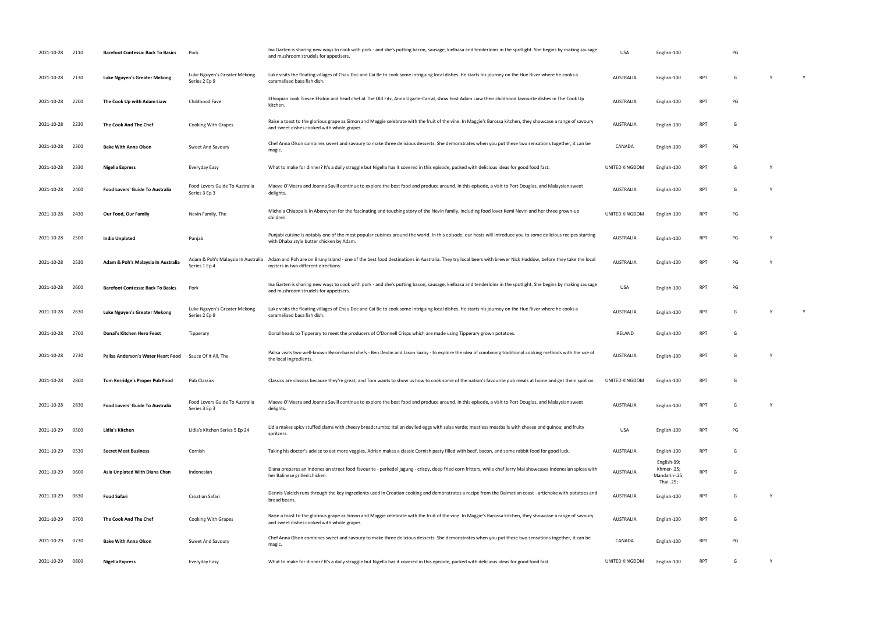| 2021-10-28 2110 |      | <b>Barefoot Contessa: Back To Basics</b> | Pork                                                | Ina Garten is sharing new ways to cook with pork - and she's putting bacon, sausage, kielbasa and tenderloins in the spotlight. She begins by making sausage<br>and mushroom strudels for appetisers.      | <b>USA</b>       | English-100                                             |            | PG |              |   |
|-----------------|------|------------------------------------------|-----------------------------------------------------|------------------------------------------------------------------------------------------------------------------------------------------------------------------------------------------------------------|------------------|---------------------------------------------------------|------------|----|--------------|---|
| 2021-10-28 2130 |      | Luke Nguyen's Greater Mekong             | Luke Nguyen's Greater Mekong<br>Series 2 Ep 9       | Luke visits the floating villages of Chau Doc and Cai Be to cook some intriguing local dishes. He starts his journey on the Hue River where he cooks a<br>caramelised basa fish dish.                      | <b>AUSTRALIA</b> | English-100                                             | <b>RPT</b> | G  | $\mathsf{Y}$ |   |
| 2021-10-28      | 2200 | The Cook Up with Adam Liaw               | Childhood Fave                                      | Ethiopian cook Tinsae Elsdon and head chef at The Old Fitz, Anna Ugarte-Carral, show host Adam Liaw their childhood favourite dishes in The Cook Up<br>kitchen.                                            | <b>AUSTRALIA</b> | English-100                                             | <b>RPT</b> | PG |              |   |
| 2021-10-28      | 2230 | The Cook And The Chef                    | <b>Cooking With Grapes</b>                          | Raise a toast to the glorious grape as Simon and Maggie celebrate with the fruit of the vine. In Maggie's Barossa kitchen, they showcase a range of savoury<br>and sweet dishes cooked with whole grapes.  | <b>AUSTRALIA</b> | English-100                                             | <b>RPT</b> | G  |              |   |
| 2021-10-28      | 2300 | <b>Bake With Anna Olson</b>              | Sweet And Savoury                                   | Chef Anna Olson combines sweet and savoury to make three delicious desserts. She demonstrates when you put these two sensations together, it can be<br>magic.                                              | CANADA           | English-100                                             | <b>RPT</b> | PG |              |   |
| 2021-10-28      | 2330 | Nigella Express                          | Everyday Easy                                       | What to make for dinner? It's a daily struggle but Nigella has it covered in this episode, packed with delicious ideas for good food fast.                                                                 | UNITED KINGDOM   | English-100                                             | <b>RPT</b> | G  |              |   |
| 2021-10-28      | 2400 | <b>Food Lovers' Guide To Australia</b>   | Food Lovers Guide To Australia<br>Series 3 Ep 3     | Maeve O'Meara and Joanna Savill continue to explore the best food and produce around. In this episode, a visit to Port Douglas, and Malaysian sweet<br>delights.                                           | <b>AUSTRALIA</b> | English-100                                             | <b>RPT</b> | G  |              |   |
| 2021-10-28      | 2430 | Our Food, Our Family                     | Nevin Family, The                                   | Michela Chiappa is in Abercynon for the fascinating and touching story of the Nevin family, including food lover Kemi Nevin and her three grown-up<br>children.                                            | UNITED KINGDOM   | English-100                                             | <b>RPT</b> | PG |              |   |
| 2021-10-28      | 2500 | <b>India Unplated</b>                    | Punjab                                              | Punjabi cuisine is notably one of the most popular cuisines around the world. In this episode, our hosts will introduce you to some delicious recipes starting<br>with Dhaba style butter chicken by Adam. | <b>AUSTRALIA</b> | English-100                                             | <b>RPT</b> | PG |              |   |
| 2021-10-28      | 2530 | Adam & Poh's Malaysia In Australia       | Adam & Poh's Malaysia In Australia<br>Series 1 Ep 4 | Adam and Poh are on Bruny Island - one of the best food destinations in Australia. They try local beers with brewer Nick Haddow, before they take the local<br>oysters in two different directions.        | <b>AUSTRALIA</b> | English-100                                             | <b>RPT</b> | PG |              |   |
| 2021-10-28      | 2600 | <b>Barefoot Contessa: Back To Basics</b> | Pork                                                | Ina Garten is sharing new ways to cook with pork - and she's putting bacon, sausage, kielbasa and tenderloins in the spotlight. She begins by making sausage<br>and mushroom strudels for appetisers.      | <b>USA</b>       | English-100                                             | <b>RPT</b> | PG |              |   |
| 2021-10-28      | 2630 | Luke Nguyen's Greater Mekong             | Luke Nguyen's Greater Mekong<br>Series 2 Ep 9       | Luke visits the floating villages of Chau Doc and Cai Be to cook some intriguing local dishes. He starts his journey on the Hue River where he cooks a<br>caramelised basa fish dish.                      | <b>AUSTRALIA</b> | English-100                                             | <b>RPT</b> | G  | Y            | Y |
| 2021-10-28      | 2700 | <b>Donal's Kitchen Hero Feast</b>        | Tipperary                                           | Donal heads to Tipperary to meet the producers of O'Donnell Crisps which are made using Tipperary grown potatoes.                                                                                          | IRELAND          | English-100                                             | <b>RPT</b> | G  |              |   |
| 2021-10-28 2730 |      | Palisa Anderson's Water Heart Food       | Sauce Of It All, The                                | Palisa visits two well-known Byron-based chefs - Ben Devlin and Jason Saxby - to explore the idea of combining traditional cooking methods with the use of<br>the local ingredients.                       | <b>AUSTRALIA</b> | English-100                                             | <b>RPT</b> | G  | $\mathsf{Y}$ |   |
| 2021-10-28      | 2800 | Tom Kerridge's Proper Pub Food           | <b>Pub Classics</b>                                 | Classics are classics because they're great, and Tom wants to show us how to cook some of the nation's favourite pub meals at home and get them spot on.                                                   | UNITED KINGDOM   | English-100                                             | <b>RPT</b> | G  |              |   |
| 2021-10-28      | 2830 | Food Lovers' Guide To Australia          | Food Lovers Guide To Australia<br>Series 3 Ep 3     | Maeve O'Meara and Joanna Savill continue to explore the best food and produce around. In this episode, a visit to Port Douglas, and Malaysian sweet<br>delights.                                           | <b>AUSTRALIA</b> | English-100                                             | <b>RPT</b> | G  |              |   |
| 2021-10-29 0500 |      | Lidia's Kitchen                          | Lidia's Kitchen Series 5 Ep 24                      | Lidia makes spicy stuffed clams with cheesy breadcrumbs; Italian deviled eggs with salsa verde; meatless meatballs with cheese and quinoa; and fruity<br>spritzers.                                        | USA              | English-100                                             | <b>RPT</b> | PG |              |   |
| 2021-10-29      | 0530 | <b>Secret Meat Business</b>              | Cornish                                             | Taking his doctor's advice to eat more veggies, Adrian makes a classic Cornish pasty filled with beef, bacon, and some rabbit food for good luck.                                                          | AUSTRALIA        | English-100                                             | <b>RPT</b> | G  |              |   |
| 2021-10-29      | 0600 | Asia Unplated With Diana Chan            | Indonesian                                          | Diana prepares an Indonesian street food favourite - perkedel jagung - crispy, deep fried corn fritters, while chef Jerry Mai showcases Indonesian spices with<br>her Balinese grilled chicken.            | <b>AUSTRALIA</b> | English-99;<br>Khmer-.25;<br>Mandarin-.25;<br>Thai-.25; | <b>RPT</b> | G  |              |   |
| 2021-10-29 0630 |      | <b>Food Safari</b>                       | Croatian Safari                                     | Dennis Valcich runs through the key ingredients used in Croatian cooking and demonstrates a recipe from the Dalmatian coast - artichoke with potatoes and<br>broad beans.                                  | <b>AUSTRALIA</b> | English-100                                             | <b>RPT</b> | G  | Y            |   |
| 2021-10-29 0700 |      | The Cook And The Chef                    | <b>Cooking With Grapes</b>                          | Raise a toast to the glorious grape as Simon and Maggie celebrate with the fruit of the vine. In Maggie's Barossa kitchen, they showcase a range of savoury<br>and sweet dishes cooked with whole grapes.  | AUSTRALIA        | English-100                                             | <b>RPT</b> | G  |              |   |
| 2021-10-29      | 0730 | <b>Bake With Anna Olson</b>              | Sweet And Savoury                                   | Chef Anna Olson combines sweet and savoury to make three delicious desserts. She demonstrates when you put these two sensations together, it can be<br>magic.                                              | CANADA           | English-100                                             | <b>RPT</b> | PG |              |   |
| 2021-10-29      | 0800 | <b>Nigella Express</b>                   | Everyday Easy                                       | What to make for dinner? It's a daily struggle but Nigella has it covered in this episode, packed with delicious ideas for good food fast.                                                                 | UNITED KINGDOM   | English-100                                             | <b>RPT</b> | G  |              |   |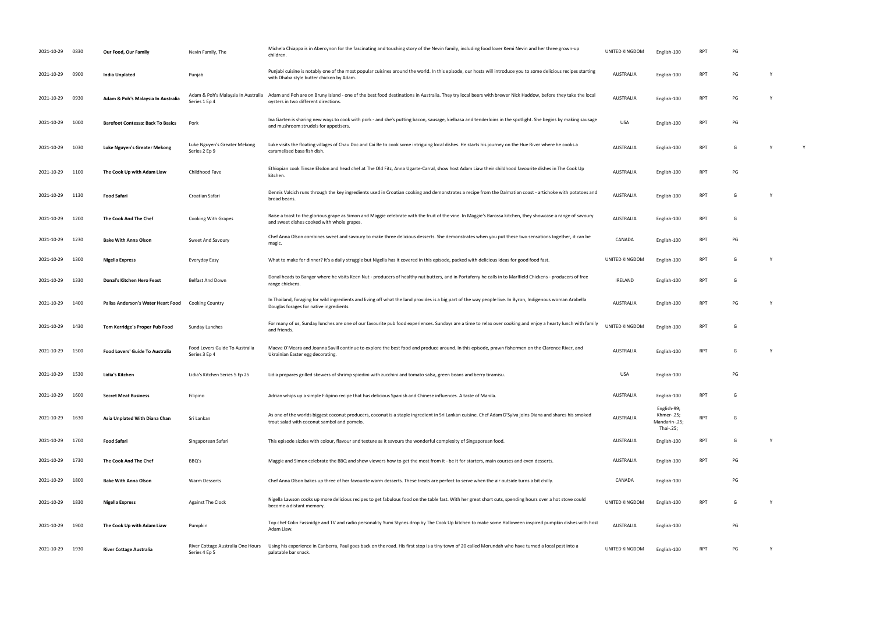| 2021-10-29 0830 |      | Our Food, Our Family                     | Nevin Family, The                                   | Michela Chiappa is in Abercynon for the fascinating and touching story of the Nevin family, including food lover Kemi Nevin and her three grown-up<br>children.                                            | UNITED KINGDOM   | English-100                                             | RP1        | PG |   |
|-----------------|------|------------------------------------------|-----------------------------------------------------|------------------------------------------------------------------------------------------------------------------------------------------------------------------------------------------------------------|------------------|---------------------------------------------------------|------------|----|---|
| 2021-10-29      | 0900 | India Unplated                           | Punjab                                              | Punjabi cuisine is notably one of the most popular cuisines around the world. In this episode, our hosts will introduce you to some delicious recipes starting<br>with Dhaba style butter chicken by Adam. | <b>AUSTRALIA</b> | English-100                                             | <b>RPT</b> | PG |   |
| 2021-10-29      | 0930 | Adam & Poh's Malaysia In Australia       | Adam & Poh's Malaysia In Australia<br>Series 1 Ep 4 | Adam and Poh are on Bruny Island - one of the best food destinations in Australia. They try local beers with brewer Nick Haddow, before they take the local<br>oysters in two different directions.        | <b>AUSTRALIA</b> | English-100                                             | <b>RPT</b> | PG |   |
| 2021-10-29      | 1000 | <b>Barefoot Contessa: Back To Basics</b> | Pork                                                | Ina Garten is sharing new ways to cook with pork - and she's putting bacon, sausage, kielbasa and tenderloins in the spotlight. She begins by making sausage<br>and mushroom strudels for appetisers.      | <b>USA</b>       | English-100                                             | <b>RPT</b> | PG |   |
| 2021-10-29      | 1030 | Luke Nguyen's Greater Mekong             | Luke Nguyen's Greater Mekong<br>Series 2 Ep 9       | Luke visits the floating villages of Chau Doc and Cai Be to cook some intriguing local dishes. He starts his journey on the Hue River where he cooks a<br>caramelised basa fish dish.                      | <b>AUSTRALIA</b> | English-100                                             | <b>RPT</b> | G  | Y |
| 2021-10-29      | 1100 | The Cook Up with Adam Liaw               | Childhood Fave                                      | Ethiopian cook Tinsae Elsdon and head chef at The Old Fitz, Anna Ugarte-Carral, show host Adam Liaw their childhood favourite dishes in The Cook Up<br>kitchen.                                            | <b>AUSTRALIA</b> | English-100                                             | <b>RPT</b> | PG |   |
| 2021-10-29      | 1130 | <b>Food Safari</b>                       | Croatian Safari                                     | Dennis Valcich runs through the key ingredients used in Croatian cooking and demonstrates a recipe from the Dalmatian coast - artichoke with potatoes and<br>broad beans.                                  | <b>AUSTRALIA</b> | English-100                                             | <b>RPT</b> | G  |   |
| 2021-10-29      | 1200 | The Cook And The Chef                    | Cooking With Grapes                                 | Raise a toast to the glorious grape as Simon and Maggie celebrate with the fruit of the vine. In Maggie's Barossa kitchen, they showcase a range of savoury<br>and sweet dishes cooked with whole grapes.  | <b>AUSTRALIA</b> | English-100                                             | RPT        | G  |   |
| 2021-10-29      | 1230 | <b>Bake With Anna Olson</b>              | Sweet And Savoury                                   | Chef Anna Olson combines sweet and savoury to make three delicious desserts. She demonstrates when you put these two sensations together, it can be<br>magic.                                              | CANADA           | English-100                                             | <b>RPT</b> | PG |   |
| 2021-10-29      | 1300 | Nigella Express                          | Everyday Easy                                       | What to make for dinner? It's a daily struggle but Nigella has it covered in this episode, packed with delicious ideas for good food fast.                                                                 | UNITED KINGDOM   | English-100                                             | <b>RPT</b> | G  |   |
| 2021-10-29      | 1330 | Donal's Kitchen Hero Feast               | Belfast And Down                                    | Donal heads to Bangor where he visits Keen Nut - producers of healthy nut butters, and in Portaferry he calls in to Marlfield Chickens - producers of free<br>range chickens.                              | <b>IRELAND</b>   | English-100                                             | <b>RPT</b> | G  |   |
| 2021-10-29      | 1400 | Palisa Anderson's Water Heart Food       | <b>Cooking Country</b>                              | In Thailand, foraging for wild ingredients and living off what the land provides is a big part of the way people live. In Byron, Indigenous woman Arabella<br>Douglas forages for native ingredients.      | <b>AUSTRALIA</b> | English-100                                             | <b>RPT</b> | PG |   |
| 2021-10-29      | 1430 | Tom Kerridge's Proper Pub Food           | Sunday Lunches                                      | For many of us, Sunday lunches are one of our favourite pub food experiences. Sundays are a time to relax over cooking and enjoy a hearty lunch with family<br>and friends.                                | UNITED KINGDOM   | English-100                                             | <b>RPT</b> | G  |   |
| 2021-10-29 1500 |      | Food Lovers' Guide To Australia          | Food Lovers Guide To Australia<br>Series 3 Ep 4     | Maeve O'Meara and Joanna Savill continue to explore the best food and produce around. In this episode, prawn fishermen on the Clarence River, and<br>Ukrainian Easter egg decorating.                      | <b>AUSTRALIA</b> | English-100                                             | <b>RPT</b> | G  |   |
| 2021-10-29 1530 |      | Lidia's Kitchen                          | Lidia's Kitchen Series 5 Ep 25                      | Lidia prepares grilled skewers of shrimp spiedini with zucchini and tomato salsa, green beans and berry tiramisu.                                                                                          | <b>USA</b>       | English-100                                             |            | ۲G |   |
| 2021-10-29      | 1600 | <b>Secret Meat Business</b>              | Filipino                                            | Adrian whips up a simple Filipino recipe that has delicious Spanish and Chinese influences. A taste of Manila.                                                                                             | <b>AUSTRALIA</b> | English-100                                             | <b>RPT</b> | G  |   |
| 2021-10-29      | 1630 | Asia Unplated With Diana Chan            | Sri Lankan                                          | As one of the worlds biggest coconut producers, coconut is a staple ingredient in Sri Lankan cuisine. Chef Adam D'Sylva joins Diana and shares his smoked<br>trout salad with coconut sambol and pomelo.   | <b>AUSTRALIA</b> | English-99;<br>Khmer-.25;<br>Mandarin-.25;<br>Thai-.25; | <b>RPT</b> | G  |   |
| 2021-10-29      | 1700 | <b>Food Safari</b>                       | Singaporean Safari                                  | This episode sizzles with colour, flavour and texture as it savours the wonderful complexity of Singaporean food.                                                                                          | <b>AUSTRALIA</b> | English-100                                             | <b>RPT</b> | G  |   |
| 2021-10-29      | 1730 | The Cook And The Chef                    | BBQ's                                               | Maggie and Simon celebrate the BBQ and show viewers how to get the most from it - be it for starters, main courses and even desserts.                                                                      | <b>AUSTRALIA</b> | English-100                                             | <b>RPT</b> | PG |   |
| 2021-10-29      | 1800 | <b>Bake With Anna Olson</b>              | <b>Warm Desserts</b>                                | Chef Anna Olson bakes up three of her favourite warm desserts. These treats are perfect to serve when the air outside turns a bit chilly.                                                                  | CANADA           | English-100                                             |            | PG |   |
| 2021-10-29      | 1830 | <b>Nigella Express</b>                   | <b>Against The Clock</b>                            | Nigella Lawson cooks up more delicious recipes to get fabulous food on the table fast. With her great short cuts, spending hours over a hot stove could<br>become a distant memory.                        | UNITED KINGDOM   | English-100                                             | RPT        | G  |   |
| 2021-10-29      | 1900 | The Cook Up with Adam Liaw               | Pumpkin                                             | Top chef Colin Fassnidge and TV and radio personality Yumi Stynes drop by The Cook Up kitchen to make some Halloween inspired pumpkin dishes with host<br>Adam Liaw.                                       | <b>AUSTRALIA</b> | English-100                                             |            | PG |   |
| 2021-10-29      | 1930 | <b>River Cottage Australia</b>           | River Cottage Australia One Hours<br>Series 4 Ep 5  | Using his experience in Canberra, Paul goes back on the road. His first stop is a tiny town of 20 called Morundah who have turned a local pest into a<br>palatable bar snack.                              | UNITED KINGDOM   | English-100                                             | RPT        | PG |   |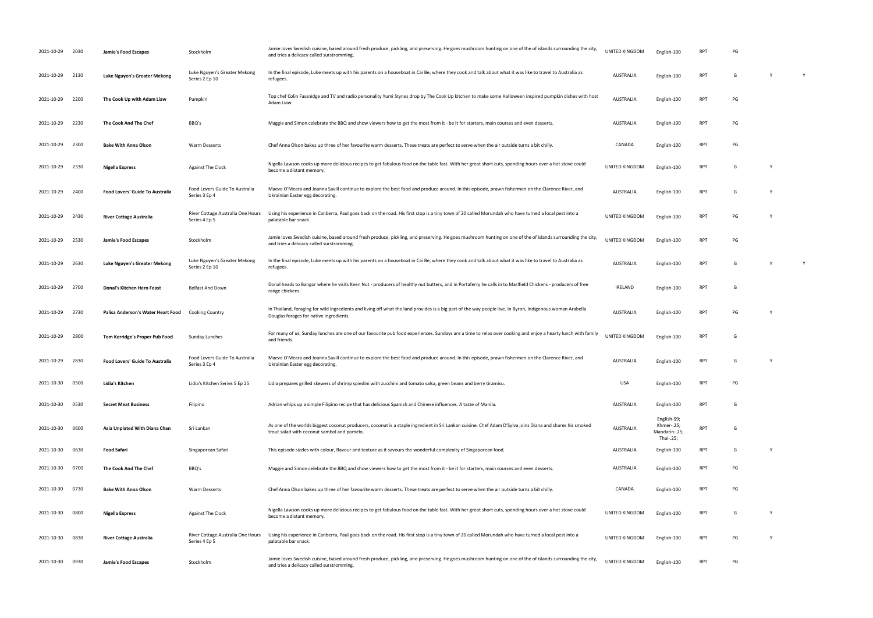| 2021-10-29      | 2030 | Jamie's Food Escapes                   | Stockholm                                          | Jamie loves Swedish cuisine, based around fresh produce, pickling, and preserving. He goes mushroom hunting on one of the of islands surrounding the city,<br>and tries a delicacy called surstromming.  | UNITED KINGDOM   | English-100                                             | RPT        | PG |   |              |
|-----------------|------|----------------------------------------|----------------------------------------------------|----------------------------------------------------------------------------------------------------------------------------------------------------------------------------------------------------------|------------------|---------------------------------------------------------|------------|----|---|--------------|
| 2021-10-29      | 2130 | Luke Nguyen's Greater Mekong           | Luke Nguyen's Greater Mekong<br>Series 2 Ep 10     | In the final episode, Luke meets up with his parents on a houseboat in Cai Be, where they cook and talk about what it was like to travel to Australia as<br>refugees.                                    | <b>AUSTRALIA</b> | English-100                                             | <b>RPT</b> | G  | Y | $\mathsf{Y}$ |
| 2021-10-29      | 2200 | The Cook Up with Adam Liaw             | Pumpkin                                            | Top chef Colin Fassnidge and TV and radio personality Yumi Stynes drop by The Cook Up kitchen to make some Halloween inspired pumpkin dishes with host<br>Adam Liaw.                                     | <b>AUSTRALIA</b> | English-100                                             | <b>RPT</b> | PG |   |              |
| 2021-10-29      | 2230 | The Cook And The Chef                  | BBQ's                                              | Maggie and Simon celebrate the BBQ and show viewers how to get the most from it - be it for starters, main courses and even desserts.                                                                    | <b>AUSTRALIA</b> | English-100                                             | <b>RPT</b> | PG |   |              |
| 2021-10-29      | 2300 | <b>Bake With Anna Olson</b>            | Warm Desserts                                      | Chef Anna Olson bakes up three of her favourite warm desserts. These treats are perfect to serve when the air outside turns a bit chilly.                                                                | CANADA           | English-100                                             | <b>RPT</b> | PG |   |              |
| 2021-10-29      | 2330 | Nigella Express                        | <b>Against The Clock</b>                           | Nigella Lawson cooks up more delicious recipes to get fabulous food on the table fast. With her great short cuts, spending hours over a hot stove could<br>become a distant memory.                      | UNITED KINGDOM   | English-100                                             | RPT        | G  | Y |              |
| 2021-10-29 2400 |      | Food Lovers' Guide To Australia        | Food Lovers Guide To Australia<br>Series 3 Ep 4    | Maeve O'Meara and Joanna Savill continue to explore the best food and produce around. In this episode, prawn fishermen on the Clarence River, and<br>Ukrainian Easter egg decorating.                    | <b>AUSTRALIA</b> | English-100                                             | <b>RPT</b> | G  | Y |              |
| 2021-10-29      | 2430 | <b>River Cottage Australia</b>         | River Cottage Australia One Hours<br>Series 4 Ep 5 | Using his experience in Canberra, Paul goes back on the road. His first stop is a tiny town of 20 called Morundah who have turned a local pest into a<br>palatable bar snack.                            | UNITED KINGDOM   | English-100                                             | <b>RPT</b> | PG | Y |              |
| 2021-10-29      | 2530 | Jamie's Food Escapes                   | Stockholm                                          | Jamie loves Swedish cuisine, based around fresh produce, pickling, and preserving. He goes mushroom hunting on one of the of islands surrounding the city,<br>and tries a delicacy called surstromming.  | UNITED KINGDOM   | English-100                                             | <b>RPT</b> | PG |   |              |
| 2021-10-29      | 2630 | Luke Nguyen's Greater Mekong           | Luke Nguyen's Greater Mekong<br>Series 2 Ep 10     | In the final episode, Luke meets up with his parents on a houseboat in Cai Be, where they cook and talk about what it was like to travel to Australia as<br>refugees.                                    | <b>AUSTRALIA</b> | English-100                                             | <b>RPT</b> | G  | Y | Y            |
| 2021-10-29      | 2700 | Donal's Kitchen Hero Feast             | Belfast And Down                                   | Donal heads to Bangor where he visits Keen Nut - producers of healthy nut butters, and in Portaferry he calls in to Marlfield Chickens - producers of free<br>range chickens.                            | <b>IRELAND</b>   | English-100                                             | <b>RPT</b> | G  |   |              |
| 2021-10-29      | 2730 | Palisa Anderson's Water Heart Food     | <b>Cooking Country</b>                             | In Thailand, foraging for wild ingredients and living off what the land provides is a big part of the way people live. In Byron, Indigenous woman Arabella<br>Douglas forages for native ingredients.    | <b>AUSTRALIA</b> | English-100                                             | <b>RPT</b> | PG | Y |              |
| 2021-10-29      | 2800 | Tom Kerridge's Proper Pub Food         | Sunday Lunches                                     | For many of us, Sunday lunches are one of our favourite pub food experiences. Sundays are a time to relax over cooking and enjoy a hearty lunch with family<br>and friends.                              | UNITED KINGDOM   | English-100                                             | <b>RPT</b> | G  |   |              |
| 2021-10-29      | 2830 | <b>Food Lovers' Guide To Australia</b> | Food Lovers Guide To Australia<br>Series 3 Ep 4    | Maeve O'Meara and Joanna Savill continue to explore the best food and produce around. In this episode, prawn fishermen on the Clarence River, and<br>Ukrainian Easter egg decorating.                    | <b>AUSTRALIA</b> | English-100                                             | <b>RPT</b> | G  | Y |              |
| 2021-10-30      | 0500 | Lidia's Kitchen                        | Lidia's Kitchen Series 5 Ep 25                     | Lidia prepares grilled skewers of shrimp spiedini with zucchini and tomato salsa, green beans and berry tiramisu.                                                                                        | <b>USA</b>       | English-100                                             | RPT        | PG |   |              |
| 2021-10-30      | 0530 | <b>Secret Meat Business</b>            | Filipino                                           | Adrian whips up a simple Filipino recipe that has delicious Spanish and Chinese influences. A taste of Manila.                                                                                           | <b>AUSTRALIA</b> | English-100                                             | RPT        | G  |   |              |
| 2021-10-30      | 0600 | Asia Unplated With Diana Chan          | Sri Lankan                                         | As one of the worlds biggest coconut producers, coconut is a staple ingredient in Sri Lankan cuisine. Chef Adam D'Sylva joins Diana and shares his smoked<br>trout salad with coconut sambol and pomelo. | <b>AUSTRALIA</b> | English-99;<br>Khmer-.25;<br>Mandarin-.25;<br>Thai-.25; | <b>RPT</b> | G  |   |              |
| 2021-10-30      | 0630 | Food Safari                            | Singaporean Safari                                 | This episode sizzles with colour, flavour and texture as it savours the wonderful complexity of Singaporean food.                                                                                        | <b>AUSTRALIA</b> | English-100                                             | RPT        | G  | Y |              |
| 2021-10-30      | 0700 | The Cook And The Chef                  | BBQ's                                              | Maggie and Simon celebrate the BBQ and show viewers how to get the most from it - be it for starters, main courses and even desserts.                                                                    | <b>AUSTRALIA</b> | English-100                                             | <b>RPT</b> | PG |   |              |
| 2021-10-30      | 0730 | <b>Bake With Anna Olson</b>            | <b>Warm Desserts</b>                               | Chef Anna Olson bakes up three of her favourite warm desserts. These treats are perfect to serve when the air outside turns a bit chilly.                                                                | CANADA           | English-100                                             | <b>RPT</b> | PG |   |              |
| 2021-10-30      | 0800 | Nigella Express                        | <b>Against The Clock</b>                           | Nigella Lawson cooks up more delicious recipes to get fabulous food on the table fast. With her great short cuts, spending hours over a hot stove could<br>become a distant memory.                      | UNITED KINGDOM   | English-100                                             | <b>RPT</b> | G  | Y |              |
| 2021-10-30      | 0830 | <b>River Cottage Australia</b>         | River Cottage Australia One Hours<br>Series 4 Ep 5 | Using his experience in Canberra, Paul goes back on the road. His first stop is a tiny town of 20 called Morundah who have turned a local pest into a<br>palatable bar snack.                            | UNITED KINGDOM   | English-100                                             | <b>RPT</b> | PG | Y |              |
| 2021-10-30      | 0930 | Jamie's Food Escapes                   | Stockholm                                          | Jamie loves Swedish cuisine, based around fresh produce, pickling, and preserving. He goes mushroom hunting on one of the of islands surrounding the city,<br>and tries a delicacy called surstromming.  | UNITED KINGDOM   | English-100                                             | RPT        | PG |   |              |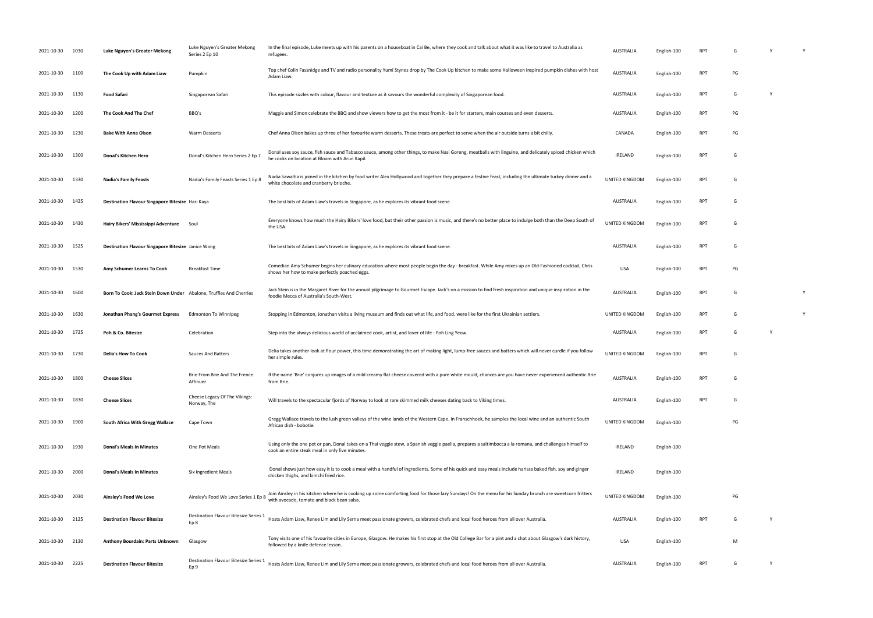| 2021-10-30 | 1030 | Luke Nguyen's Greater Mekong                                       | Luke Nguyen's Greater Mekong<br>Series 2 Ep 10 | In the final episode, Luke meets up with his parents on a houseboat in Cai Be, where they cook and talk about what it was like to travel to Australia as<br>refugees.                                       | <b>AUSTRALIA</b>      | English-100 | RP1        |    |   |   |
|------------|------|--------------------------------------------------------------------|------------------------------------------------|-------------------------------------------------------------------------------------------------------------------------------------------------------------------------------------------------------------|-----------------------|-------------|------------|----|---|---|
| 2021-10-30 | 1100 | The Cook Up with Adam Liaw                                         | Pumpkin                                        | Top chef Colin Fassnidge and TV and radio personality Yumi Stynes drop by The Cook Up kitchen to make some Halloween inspired pumpkin dishes with host<br>Adam Liaw.                                        | <b>AUSTRALIA</b>      | English-100 | RPT        | PG |   |   |
| 2021-10-30 | 1130 | <b>Food Safari</b>                                                 | Singaporean Safari                             | This episode sizzles with colour, flavour and texture as it savours the wonderful complexity of Singaporean food.                                                                                           | <b>AUSTRALIA</b>      | English-100 | <b>RPT</b> | G  | N |   |
| 2021-10-30 | 1200 | The Cook And The Chef                                              | BBQ's                                          | Maggie and Simon celebrate the BBQ and show viewers how to get the most from it - be it for starters, main courses and even desserts.                                                                       | <b>AUSTRALIA</b>      | English-100 | <b>RPT</b> | PG |   |   |
| 2021-10-30 | 1230 | <b>Bake With Anna Olson</b>                                        | Warm Desserts                                  | Chef Anna Olson bakes up three of her favourite warm desserts. These treats are perfect to serve when the air outside turns a bit chilly.                                                                   | CANADA                | English-100 | RPT        | PG |   |   |
| 2021-10-30 | 1300 | Donal's Kitchen Hero                                               | Donal's Kitchen Hero Series 2 Ep 7             | Donal uses soy sauce, fish sauce and Tabasco sauce, among other things, to make Nasi Goreng, meatballs with linguine, and delicately spiced chicken which<br>he cooks on location at Bloom with Arun Kapil. | <b>IRELAND</b>        | English-100 | <b>RPT</b> | G  |   |   |
| 2021-10-30 | 1330 | <b>Nadia's Family Feasts</b>                                       | Nadia's Family Feasts Series 1 Ep 8            | Nadia Sawalha is joined in the kitchen by food writer Alex Hollywood and together they prepare a festive feast, including the ultimate turkey dinner and a<br>white chocolate and cranberry brioche.        | UNITED KINGDOM        | English-100 | <b>RPT</b> | G  |   |   |
| 2021-10-30 | 1425 | Destination Flavour Singapore Bitesize Hari Kaya                   |                                                | The best bits of Adam Liaw's travels in Singapore, as he explores its vibrant food scene.                                                                                                                   | <b>AUSTRALIA</b>      | English-100 | RPT        | G  |   |   |
| 2021-10-30 | 1430 | Hairy Bikers' Mississippi Adventure                                | Soul                                           | Everyone knows how much the Hairy Bikers' love food, but their other passion is music, and there's no better place to indulge both than the Deep South of<br>the USA.                                       | UNITED KINGDOM        | English-100 | <b>RPT</b> | G  |   |   |
| 2021-10-30 | 1525 | Destination Flavour Singapore Bitesize Janice Wong                 |                                                | The best bits of Adam Liaw's travels in Singapore, as he explores its vibrant food scene.                                                                                                                   | <b>AUSTRALIA</b>      | English-100 | RPT        | G  |   |   |
| 2021-10-30 | 1530 | Amy Schumer Learns To Cook                                         | <b>Breakfast Time</b>                          | Comedian Amy Schumer begins her culinary education where most people begin the day - breakfast. While Amy mixes up an Old-Fashioned cocktail, Chris<br>shows her how to make perfectly poached eggs.        | <b>USA</b>            | English-100 | <b>RPT</b> | PG |   |   |
| 2021-10-30 | 1600 | Born To Cook: Jack Stein Down Under Abalone, Truffles And Cherries |                                                | Jack Stein is in the Margaret River for the annual pilgrimage to Gourmet Escape. Jack's on a mission to find fresh inspiration and unique inspiration in the<br>foodie Mecca of Australia's South-West.     | <b>AUSTRALIA</b>      | English-100 | RPT        | G  |   | Y |
| 2021-10-30 | 1630 | Jonathan Phang's Gourmet Express                                   | Edmonton To Winnipeg                           | Stopping in Edmonton, Jonathan visits a living museum and finds out what life, and food, were like for the first Ukrainian settlers.                                                                        | UNITED KINGDOM        | English-100 | <b>RPT</b> | G  |   | Y |
| 2021-10-30 | 1725 | Poh & Co. Bitesize                                                 | Celebration                                    | Step into the always delicious world of acclaimed cook, artist, and lover of life - Poh Ling Yeow.                                                                                                          | <b>AUSTRALIA</b>      | English-100 | <b>RPT</b> | G  | Y |   |
| 2021-10-30 | 1730 | <b>Delia's How To Cook</b>                                         | <b>Sauces And Batters</b>                      | Delia takes another look at flour power, this time demonstrating the art of making light, lump-free sauces and batters which will never curdle if you follow<br>her simple rules.                           | UNITED KINGDOM        | English-100 | <b>RPT</b> | G  |   |   |
| 2021-10-30 | 1800 | <b>Cheese Slices</b>                                               | Brie From Brie And The Frence<br>Affinuer      | If the name 'Brie' conjures up images of a mild creamy flat cheese covered with a pure white mould, chances are you have never experienced authentic Brie<br>from Brie.                                     | <b>AUSTRALIA</b>      | English-100 | RPT        | G  |   |   |
| 2021-10-30 | 1830 | <b>Cheese Slices</b>                                               | Cheese Legacy Of The Vikings:<br>Norway, The   | Will travels to the spectacular fjords of Norway to look at rare skimmed milk cheeses dating back to Viking times.                                                                                          | AUSTRALIA             | English-100 | <b>RPT</b> | G  |   |   |
| 2021-10-30 | 1900 | South Africa With Gregg Wallace                                    | Cape Town                                      | Gregg Wallace travels to the lush green valleys of the wine lands of the Western Cape. In Franschhoek, he samples the local wine and an authentic South<br>African dish - bobotie.                          | <b>UNITED KINGDOM</b> | English-100 |            | PG |   |   |
| 2021-10-30 | 1930 | <b>Donal's Meals In Minutes</b>                                    | One Pot Meals                                  | Using only the one pot or pan, Donal takes on a Thai veggie stew, a Spanish veggie paella, prepares a saltimbocca a la romana, and challenges himself to<br>cook an entire steak meal in only five minutes. | <b>IRELAND</b>        | English-100 |            |    |   |   |
| 2021-10-30 | 2000 | <b>Donal's Meals In Minutes</b>                                    | Six Ingredient Meals                           | Donal shows just how easy it is to cook a meal with a handful of ingredients. Some of his quick and easy meals include harissa baked fish, soy and ginger<br>chicken thighs, and kimchi fried rice.         | <b>IRELAND</b>        | English-100 |            |    |   |   |
| 2021-10-30 | 2030 | Ainsley's Food We Love                                             | Ainsley's Food We Love Series 1 Ep 8           | Join Ainsley in his kitchen where he is cooking up some comforting food for those lazy Sundays! On the menu for his Sunday brunch are sweetcorn fritters<br>with avocado, tomato and black bean salsa.      | UNITED KINGDOM        | English-100 |            | PG |   |   |
| 2021-10-30 | 2125 | <b>Destination Flavour Bitesize</b>                                | Destination Flavour Bitesize Series 1<br>Ep 8  | Hosts Adam Liaw, Renee Lim and Lily Serna meet passionate growers, celebrated chefs and local food heroes from all over Australia.                                                                          | <b>AUSTRALIA</b>      | English-100 | <b>RPT</b> | G  | Y |   |
| 2021-10-30 | 2130 | Anthony Bourdain: Parts Unknown                                    | Glasgow                                        | Tony visits one of his favourite cities in Europe, Glasgow. He makes his first stop at the Old College Bar for a pint and a chat about Glasgow's dark history,<br>followed by a knife defence lesson.       | <b>USA</b>            | English-100 |            | M  |   |   |
| 2021-10-30 | 2225 | <b>Destination Flavour Bitesize</b>                                | Destination Flavour Bitesize Series 1<br>Ep 9  | Hosts Adam Liaw, Renee Lim and Lily Serna meet passionate growers, celebrated chefs and local food heroes from all over Australia.                                                                          | <b>AUSTRALIA</b>      | English-100 | <b>RPT</b> | G  | Y |   |